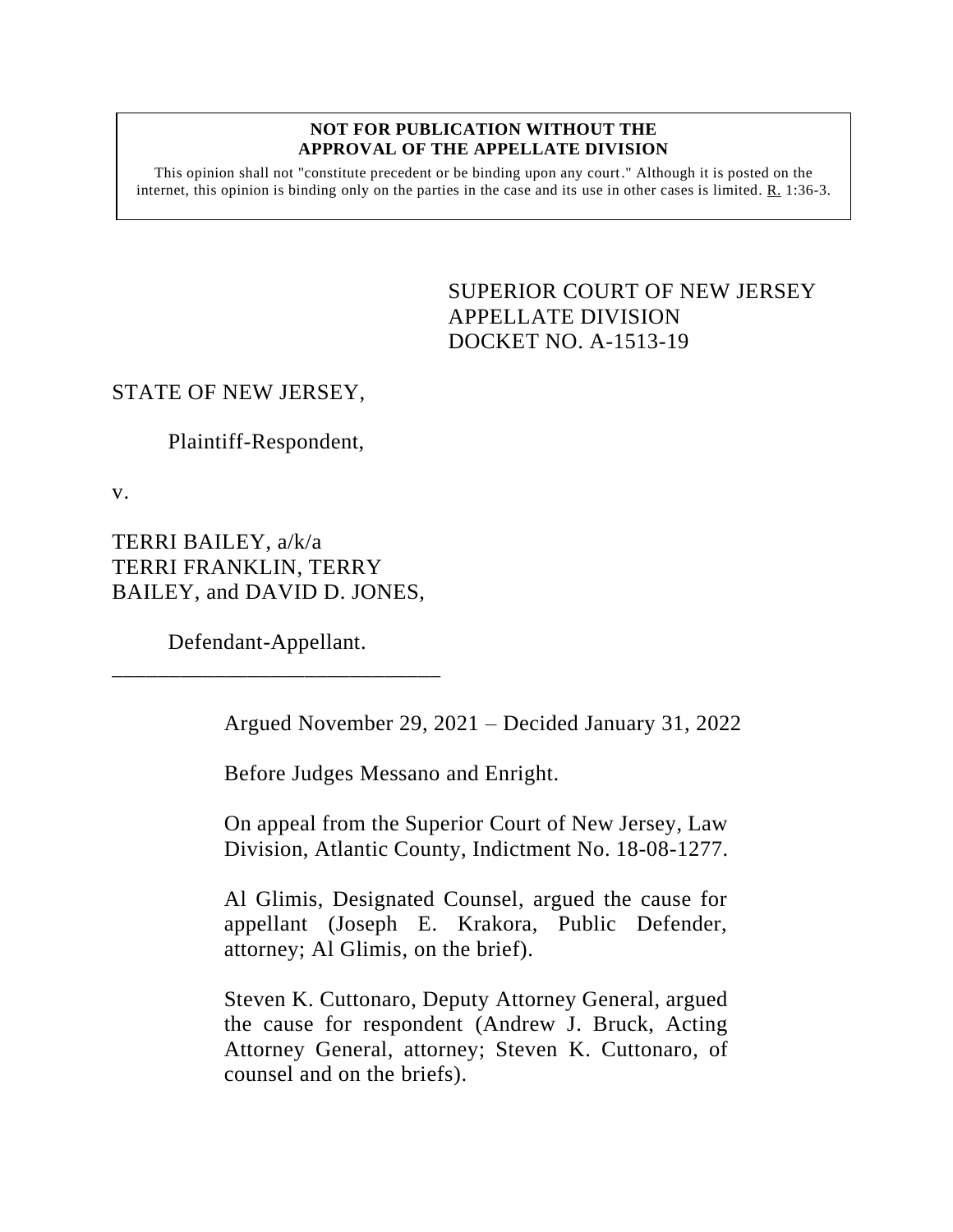#### **NOT FOR PUBLICATION WITHOUT THE APPROVAL OF THE APPELLATE DIVISION**

This opinion shall not "constitute precedent or be binding upon any court." Although it is posted on the internet, this opinion is binding only on the parties in the case and its use in other cases is limited.  $R_1$  1:36-3.

> <span id="page-0-0"></span>SUPERIOR COURT OF NEW JERSEY APPELLATE DIVISION DOCKET NO. A-1513-19

### STATE OF NEW JERSEY,

Plaintiff-Respondent,

v.

TERRI BAILEY, a/k/a TERRI FRANKLIN, TERRY BAILEY, and DAVID D. JONES,

Defendant-Appellant. \_\_\_\_\_\_\_\_\_\_\_\_\_\_\_\_\_\_\_\_\_\_\_\_\_\_\_\_\_

Argued November 29, 2021 – Decided January 31, 2022

Before Judges Messano and Enright.

On appeal from the Superior Court of New Jersey, Law Division, Atlantic County, Indictment No. 18-08-1277.

Al Glimis, Designated Counsel, argued the cause for appellant (Joseph E. Krakora, Public Defender, attorney; Al Glimis, on the brief).

Steven K. Cuttonaro, Deputy Attorney General, argued the cause for respondent (Andrew J. Bruck, Acting Attorney General, attorney; Steven K. Cuttonaro, of counsel and on the briefs).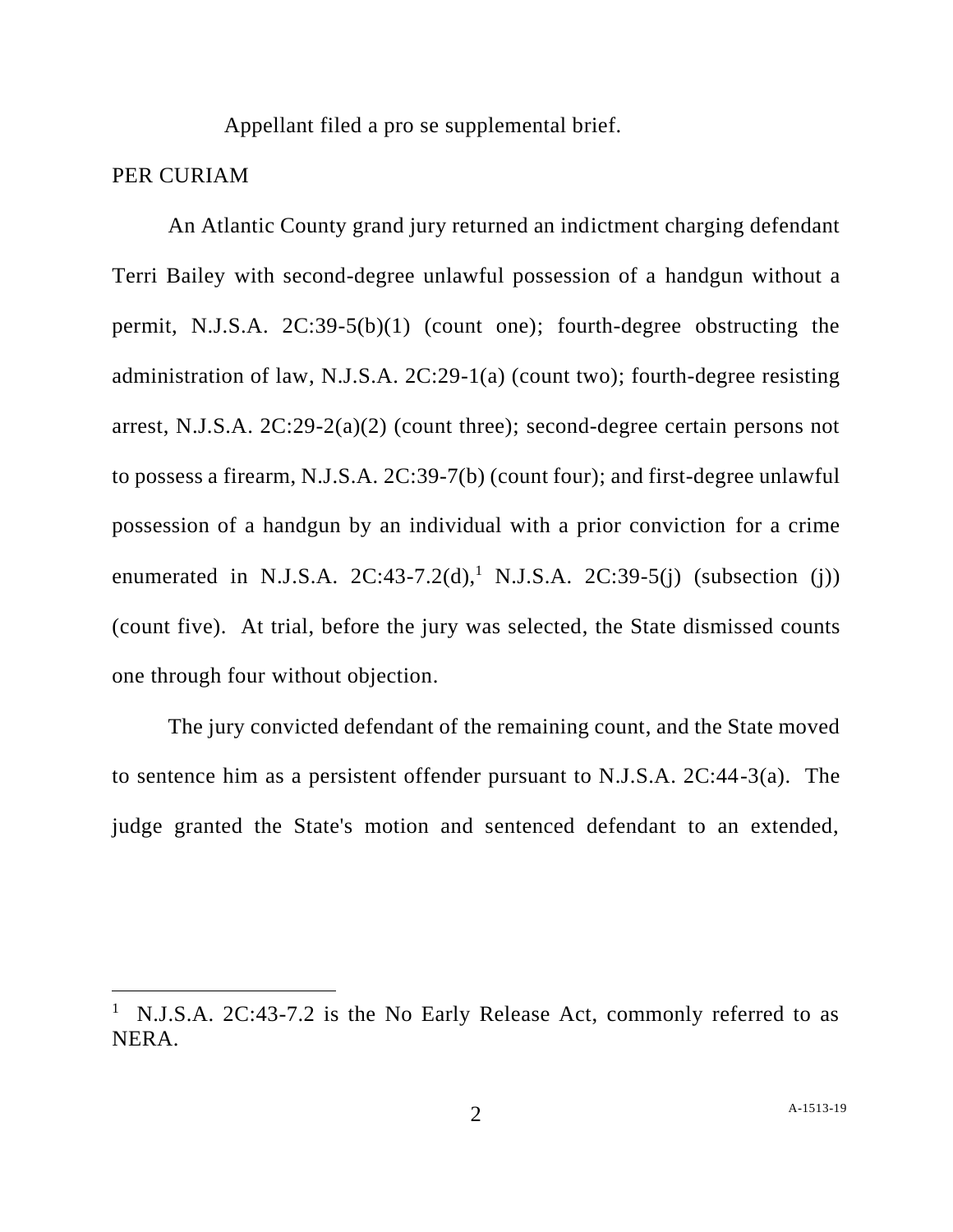Appellant filed a pro se supplemental brief.

#### PER CURIAM

An Atlantic County grand jury returned an indictment charging defendant Terri Bailey with second-degree unlawful possession of a handgun without a permit, N.J.S.A. 2C:39-5(b)(1) (count one); fourth-degree obstructing the administration of law, N.J.S.A. 2C:29-1(a) (count two); fourth-degree resisting arrest, N.J.S.A. 2C:29-2(a)(2) (count three); second-degree certain persons not to possess a firearm, N.J.S.A. 2C:39-7(b) (count four); and first-degree unlawful possession of a handgun by an individual with a prior conviction for a crime enumerated in N.J.S.A.  $2C:43-7.2(d),$ <sup>1</sup> N.J.S.A.  $2C:39-5(j)$  (subsection (j)) (count five). At trial, before the jury was selected, the State dismissed counts one through four without objection.

The jury convicted defendant of the remaining count, and the State moved to sentence him as a persistent offender pursuant to N.J.S.A. 2C:44-3(a). The judge granted the State's motion and sentenced defendant to an extended,

<sup>&</sup>lt;sup>1</sup> N.J.S.A. 2C:43-7.2 is the No Early Release Act, commonly referred to as NERA.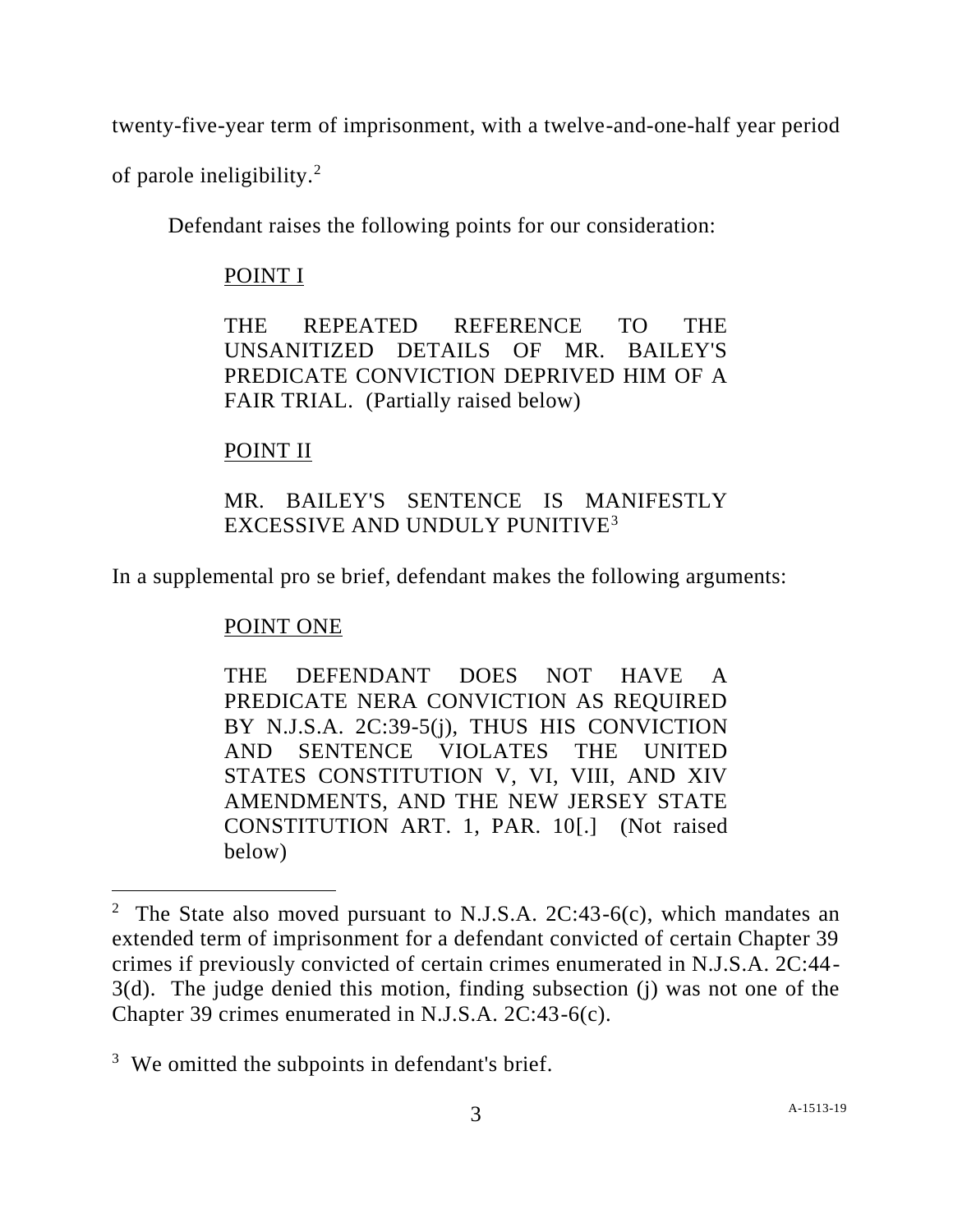twenty-five-year term of imprisonment, with a twelve-and-one-half year period

of parole ineligibility.<sup>2</sup>

Defendant raises the following points for our consideration:

## POINT I

THE REPEATED REFERENCE TO THE UNSANITIZED DETAILS OF MR. BAILEY'S PREDICATE CONVICTION DEPRIVED HIM OF A FAIR TRIAL. (Partially raised below)

# POINT II

# MR. BAILEY'S SENTENCE IS MANIFESTLY EXCESSIVE AND UNDULY PUNITIVE<sup>3</sup>

In a supplemental pro se brief, defendant makes the following arguments:

# POINT ONE

THE DEFENDANT DOES NOT HAVE A PREDICATE NERA CONVICTION AS REQUIRED BY N.J.S.A. 2C:39-5(j), THUS HIS CONVICTION AND SENTENCE VIOLATES THE UNITED STATES CONSTITUTION V, VI, VIII, AND XIV AMENDMENTS, AND THE NEW JERSEY STATE CONSTITUTION ART. 1, PAR. 10[.] (Not raised below)

<sup>&</sup>lt;sup>2</sup> The State also moved pursuant to N.J.S.A. 2C:43-6(c), which mandates an extended term of imprisonment for a defendant convicted of certain Chapter 39 crimes if previously convicted of certain crimes enumerated in N.J.S.A. 2C:44- 3(d). The judge denied this motion, finding subsection (j) was not one of the Chapter 39 crimes enumerated in N.J.S.A. 2C:43-6(c).

<sup>&</sup>lt;sup>3</sup> We omitted the subpoints in defendant's brief.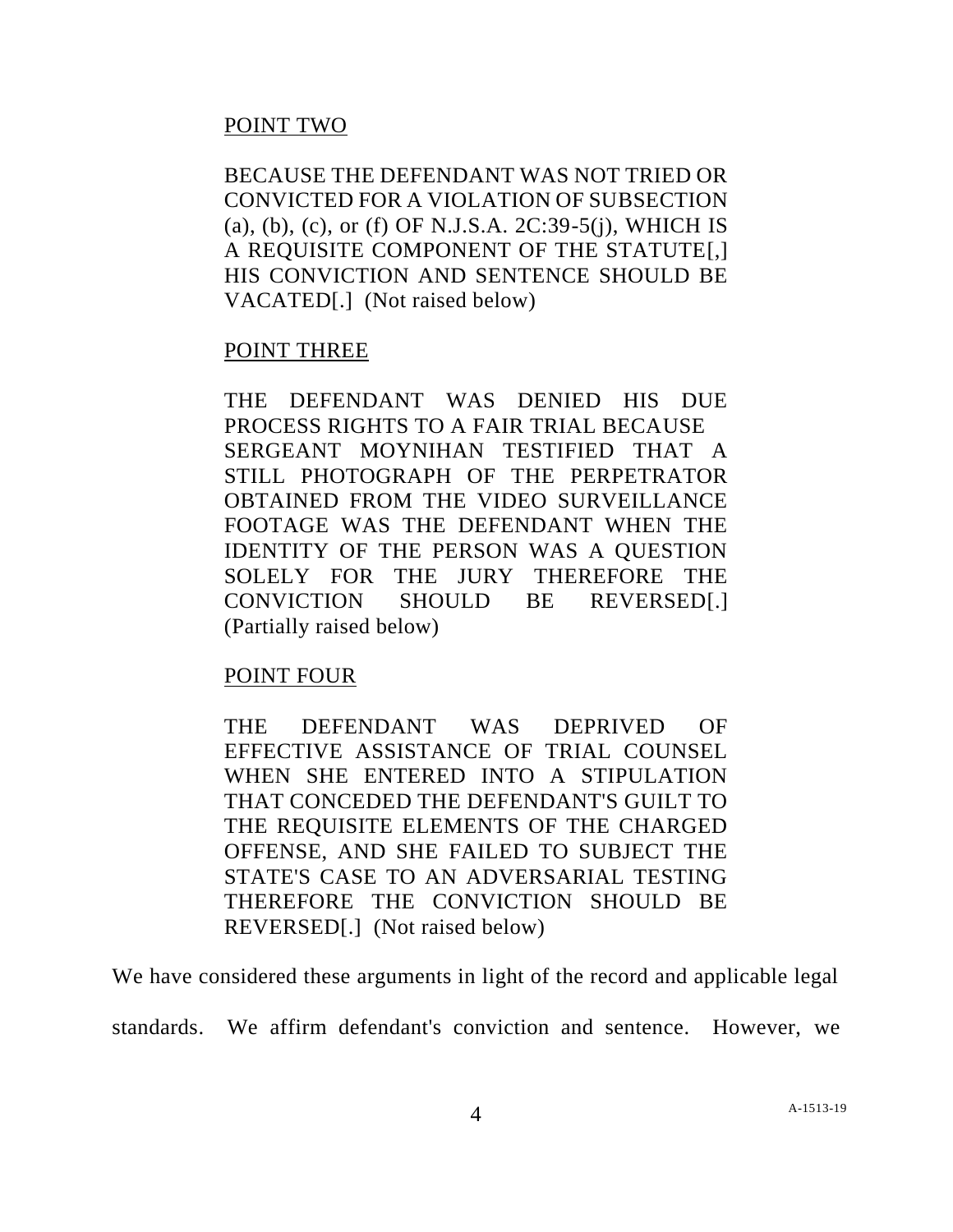## POINT TWO

BECAUSE THE DEFENDANT WAS NOT TRIED OR CONVICTED FOR A VIOLATION OF SUBSECTION (a), (b), (c), or (f) OF N.J.S.A. 2C:39-5(j), WHICH IS A REQUISITE COMPONENT OF THE STATUTE[,] HIS CONVICTION AND SENTENCE SHOULD BE VACATED[.] (Not raised below)

### POINT THREE

THE DEFENDANT WAS DENIED HIS DUE PROCESS RIGHTS TO A FAIR TRIAL BECAUSE SERGEANT MOYNIHAN TESTIFIED THAT A STILL PHOTOGRAPH OF THE PERPETRATOR OBTAINED FROM THE VIDEO SURVEILLANCE FOOTAGE WAS THE DEFENDANT WHEN THE IDENTITY OF THE PERSON WAS A QUESTION SOLELY FOR THE JURY THEREFORE THE CONVICTION SHOULD BE REVERSED[.] (Partially raised below)

### POINT FOUR

THE DEFENDANT WAS DEPRIVED OF EFFECTIVE ASSISTANCE OF TRIAL COUNSEL WHEN SHE ENTERED INTO A STIPULATION THAT CONCEDED THE DEFENDANT'S GUILT TO THE REQUISITE ELEMENTS OF THE CHARGED OFFENSE, AND SHE FAILED TO SUBJECT THE STATE'S CASE TO AN ADVERSARIAL TESTING THEREFORE THE CONVICTION SHOULD BE REVERSED[.] (Not raised below)

We have considered these arguments in light of the record and applicable legal

standards. We affirm defendant's conviction and sentence. However, we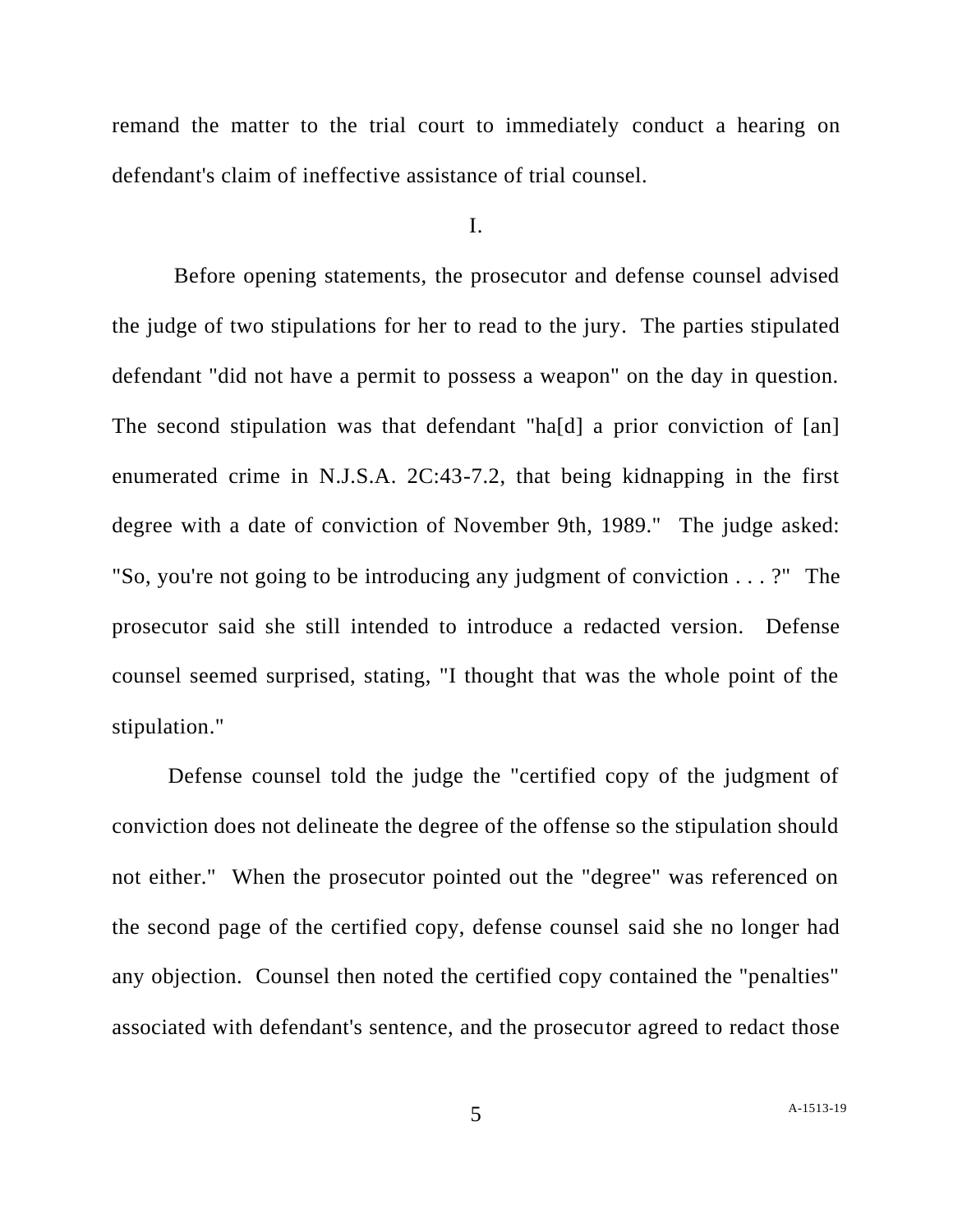remand the matter to the trial court to immediately conduct a hearing on defendant's claim of ineffective assistance of trial counsel.

I.

Before opening statements, the prosecutor and defense counsel advised the judge of two stipulations for her to read to the jury. The parties stipulated defendant "did not have a permit to possess a weapon" on the day in question. The second stipulation was that defendant "ha[d] a prior conviction of [an] enumerated crime in N.J.S.A. 2C:43-7.2, that being kidnapping in the first degree with a date of conviction of November 9th, 1989." The judge asked: "So, you're not going to be introducing any judgment of conviction . . . ?" The prosecutor said she still intended to introduce a redacted version. Defense counsel seemed surprised, stating, "I thought that was the whole point of the stipulation."

Defense counsel told the judge the "certified copy of the judgment of conviction does not delineate the degree of the offense so the stipulation should not either." When the prosecutor pointed out the "degree" was referenced on the second page of the certified copy, defense counsel said she no longer had any objection. Counsel then noted the certified copy contained the "penalties" associated with defendant's sentence, and the prosecutor agreed to redact those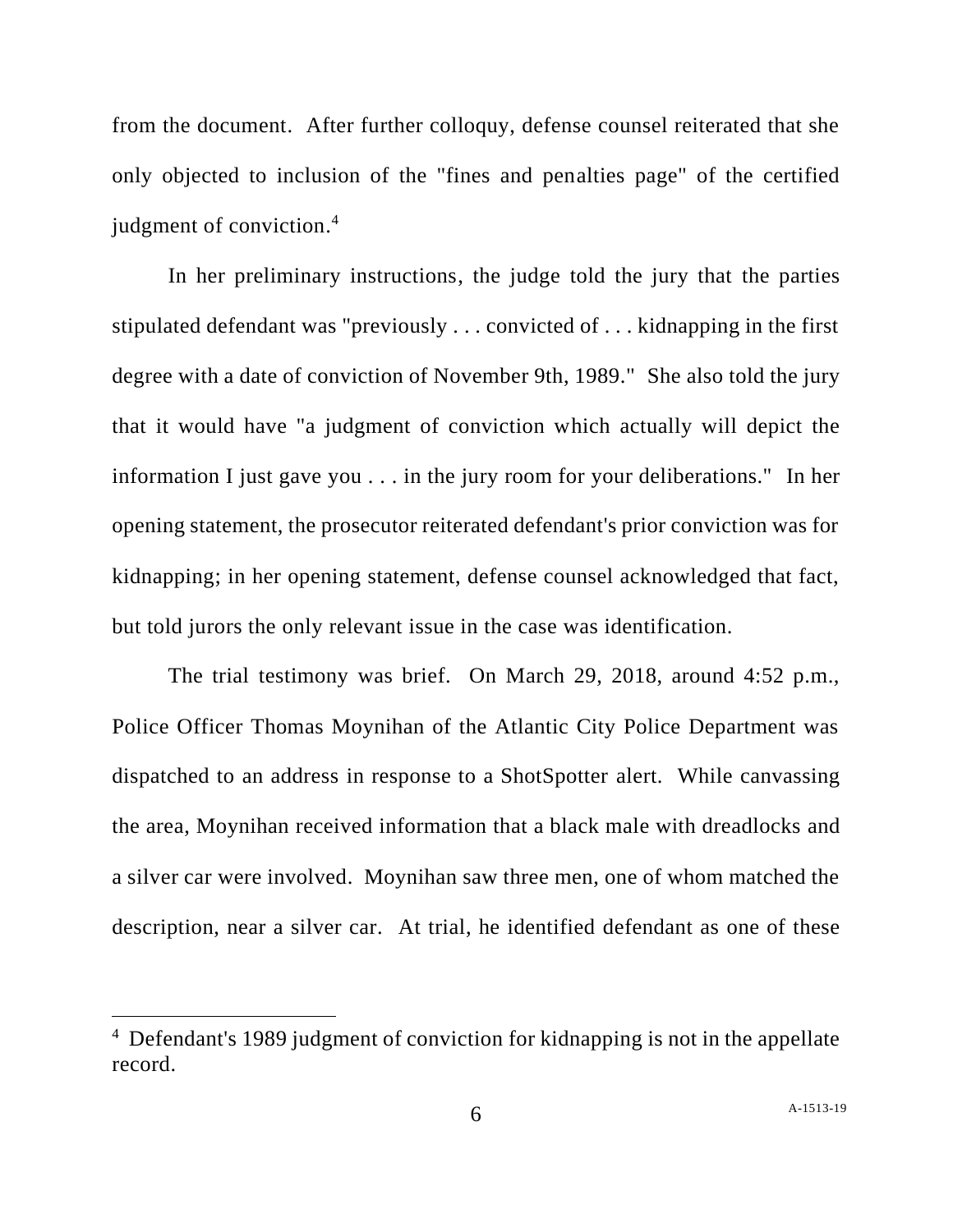from the document. After further colloquy, defense counsel reiterated that she only objected to inclusion of the "fines and penalties page" of the certified judgment of conviction. 4

In her preliminary instructions, the judge told the jury that the parties stipulated defendant was "previously . . . convicted of . . . kidnapping in the first degree with a date of conviction of November 9th, 1989." She also told the jury that it would have "a judgment of conviction which actually will depict the information I just gave you . . . in the jury room for your deliberations." In her opening statement, the prosecutor reiterated defendant's prior conviction was for kidnapping; in her opening statement, defense counsel acknowledged that fact, but told jurors the only relevant issue in the case was identification.

The trial testimony was brief. On March 29, 2018, around 4:52 p.m., Police Officer Thomas Moynihan of the Atlantic City Police Department was dispatched to an address in response to a ShotSpotter alert. While canvassing the area, Moynihan received information that a black male with dreadlocks and a silver car were involved. Moynihan saw three men, one of whom matched the description, near a silver car. At trial, he identified defendant as one of these

<sup>4</sup> Defendant's 1989 judgment of conviction for kidnapping is not in the appellate record.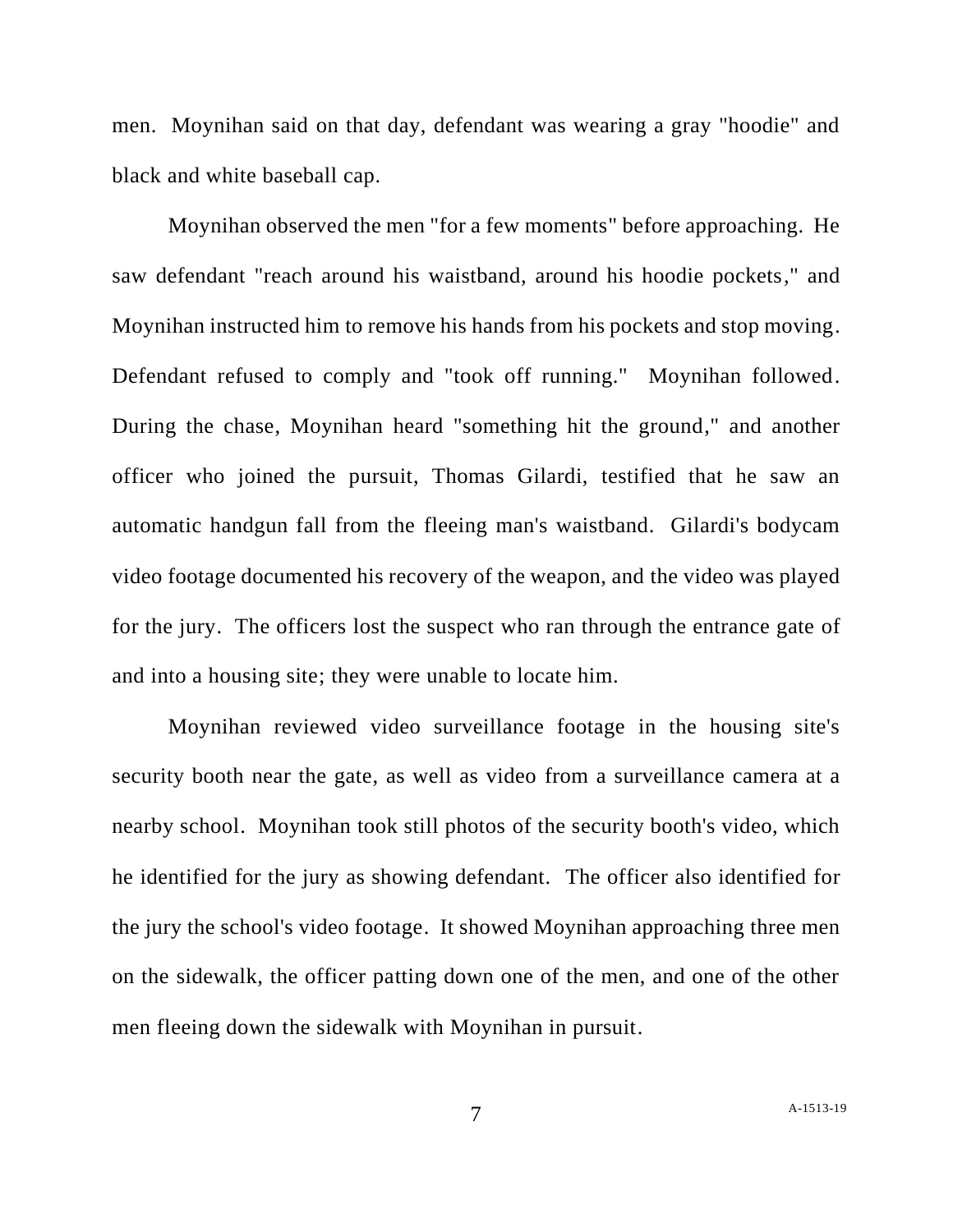men. Moynihan said on that day, defendant was wearing a gray "hoodie" and black and white baseball cap.

Moynihan observed the men "for a few moments" before approaching. He saw defendant "reach around his waistband, around his hoodie pockets," and Moynihan instructed him to remove his hands from his pockets and stop moving. Defendant refused to comply and "took off running." Moynihan followed. During the chase, Moynihan heard "something hit the ground," and another officer who joined the pursuit, Thomas Gilardi, testified that he saw an automatic handgun fall from the fleeing man's waistband. Gilardi's bodycam video footage documented his recovery of the weapon, and the video was played for the jury. The officers lost the suspect who ran through the entrance gate of and into a housing site; they were unable to locate him.

Moynihan reviewed video surveillance footage in the housing site's security booth near the gate, as well as video from a surveillance camera at a nearby school. Moynihan took still photos of the security booth's video, which he identified for the jury as showing defendant. The officer also identified for the jury the school's video footage. It showed Moynihan approaching three men on the sidewalk, the officer patting down one of the men, and one of the other men fleeing down the sidewalk with Moynihan in pursuit.

7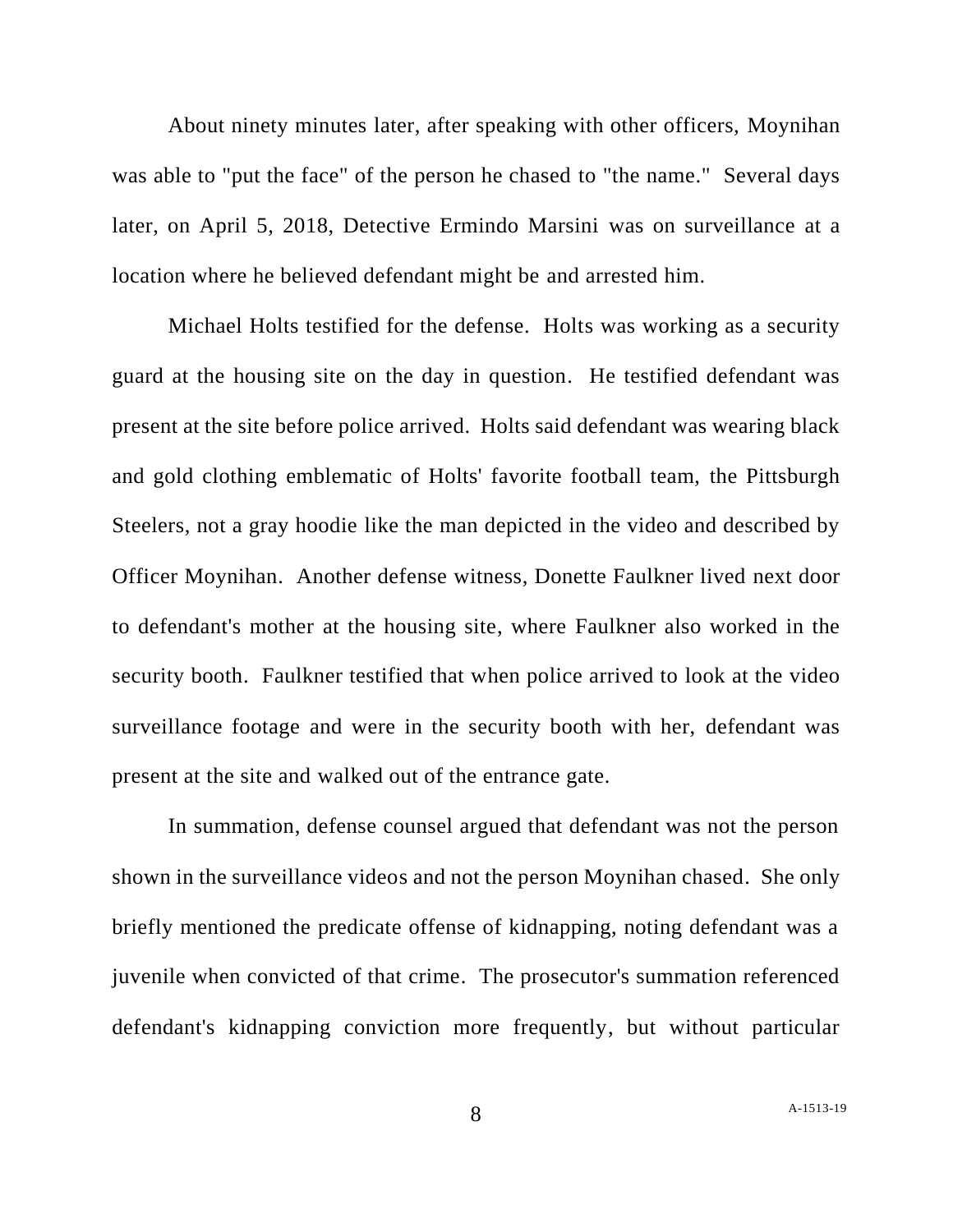About ninety minutes later, after speaking with other officers, Moynihan was able to "put the face" of the person he chased to "the name." Several days later, on April 5, 2018, Detective Ermindo Marsini was on surveillance at a location where he believed defendant might be and arrested him.

Michael Holts testified for the defense. Holts was working as a security guard at the housing site on the day in question. He testified defendant was present at the site before police arrived. Holts said defendant was wearing black and gold clothing emblematic of Holts' favorite football team, the Pittsburgh Steelers, not a gray hoodie like the man depicted in the video and described by Officer Moynihan. Another defense witness, Donette Faulkner lived next door to defendant's mother at the housing site, where Faulkner also worked in the security booth. Faulkner testified that when police arrived to look at the video surveillance footage and were in the security booth with her, defendant was present at the site and walked out of the entrance gate.

In summation, defense counsel argued that defendant was not the person shown in the surveillance videos and not the person Moynihan chased. She only briefly mentioned the predicate offense of kidnapping, noting defendant was a juvenile when convicted of that crime. The prosecutor's summation referenced defendant's kidnapping conviction more frequently, but without particular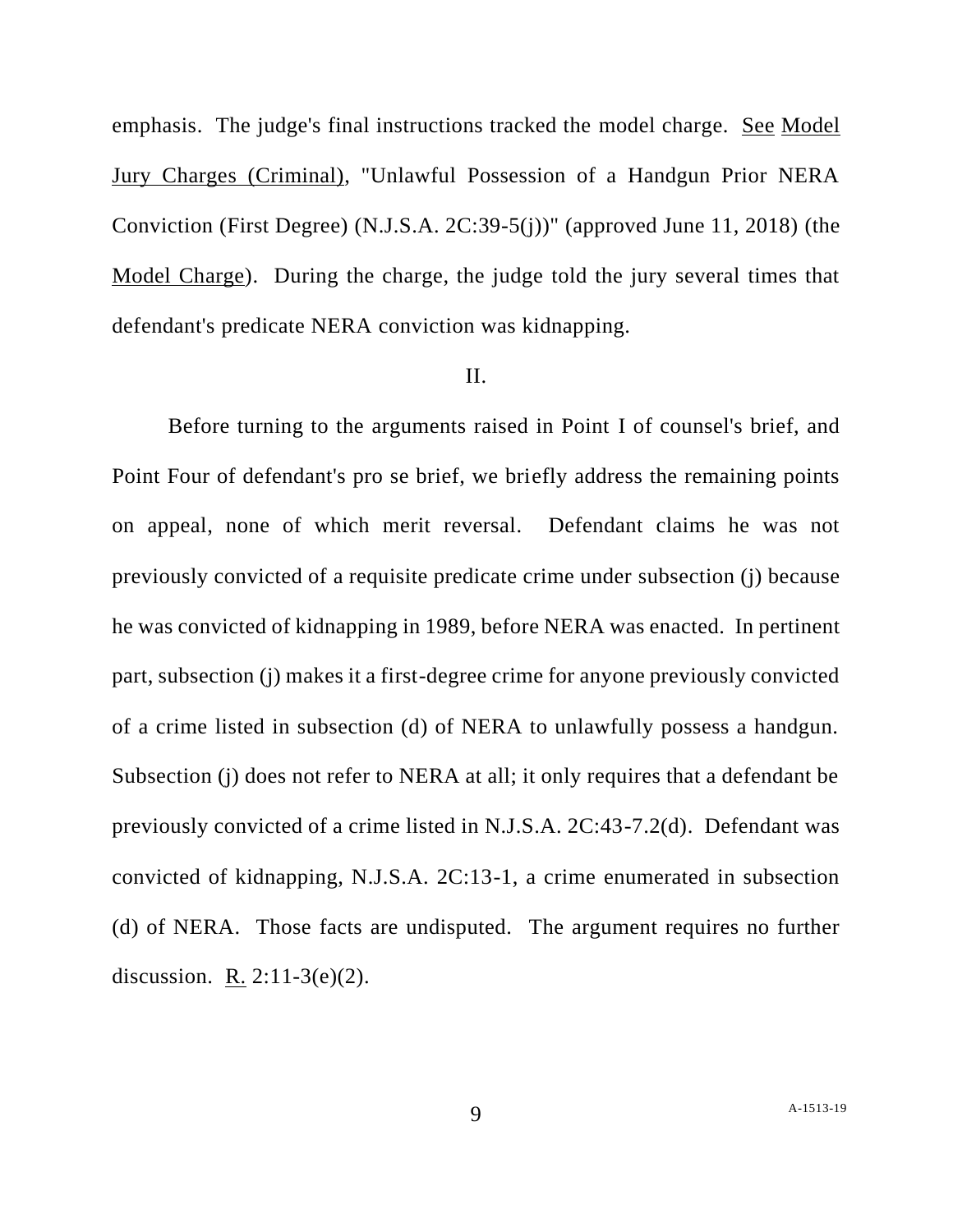emphasis. The judge's final instructions tracked the model charge. See Model Jury Charges (Criminal), "Unlawful Possession of a Handgun Prior NERA Conviction (First Degree) (N.J.S.A. 2C:39-5(j))" (approved June 11, 2018) (the Model Charge). During the charge, the judge told the jury several times that defendant's predicate NERA conviction was kidnapping.

#### II.

Before turning to the arguments raised in Point I of counsel's brief, and Point Four of defendant's pro se brief, we briefly address the remaining points on appeal, none of which merit reversal. Defendant claims he was not previously convicted of a requisite predicate crime under subsection (j) because he was convicted of kidnapping in 1989, before NERA was enacted. In pertinent part, subsection (j) makes it a first-degree crime for anyone previously convicted of a crime listed in subsection (d) of NERA to unlawfully possess a handgun. Subsection (j) does not refer to NERA at all; it only requires that a defendant be previously convicted of a crime listed in N.J.S.A. 2C:43-7.2(d). Defendant was convicted of kidnapping, N.J.S.A. 2C:13-1, a crime enumerated in subsection (d) of NERA. Those facts are undisputed. The argument requires no further discussion. R. 2:11-3(e)(2).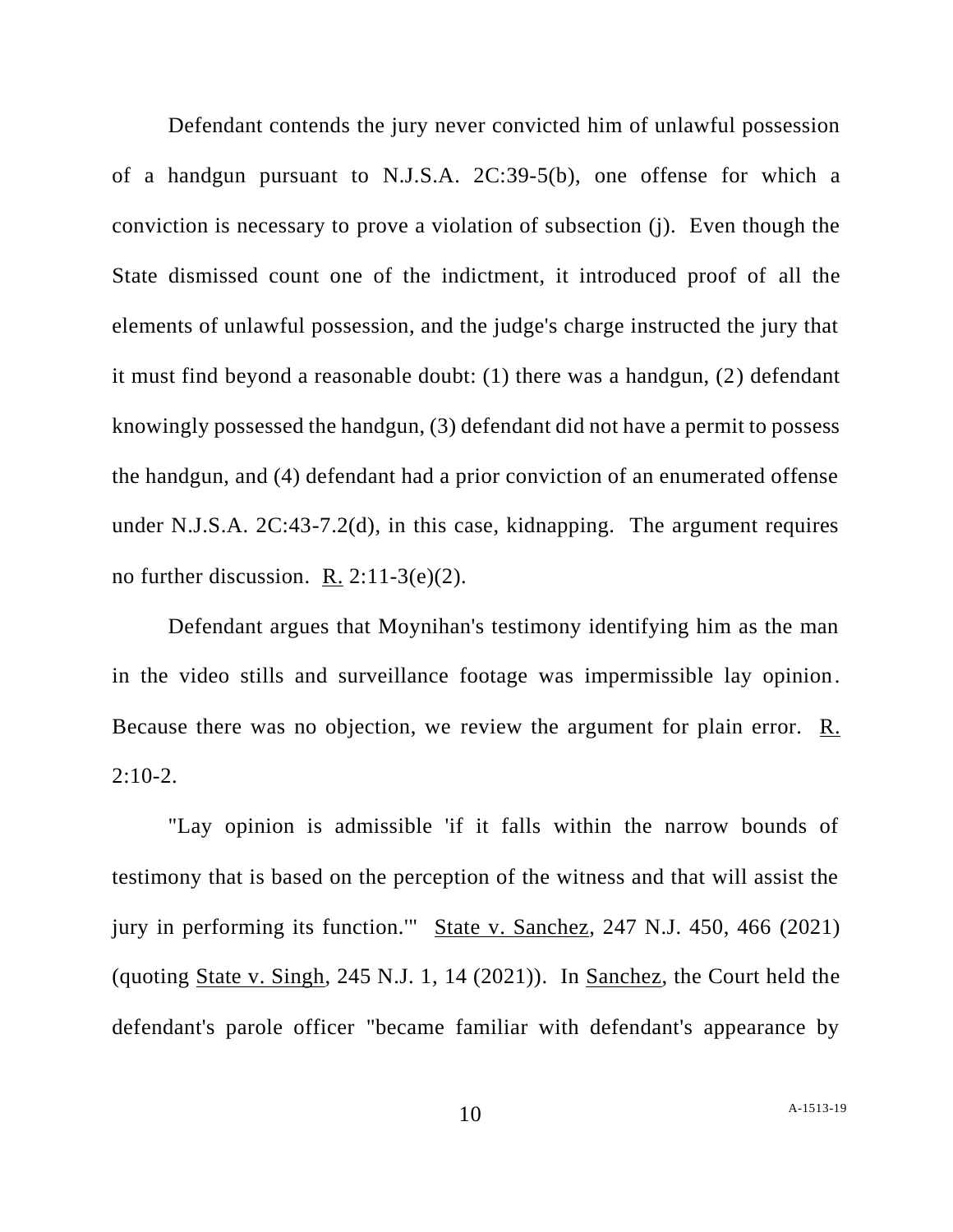Defendant contends the jury never convicted him of unlawful possession of a handgun pursuant to N.J.S.A. 2C:39-5(b), one offense for which a conviction is necessary to prove a violation of subsection (j). Even though the State dismissed count one of the indictment, it introduced proof of all the elements of unlawful possession, and the judge's charge instructed the jury that it must find beyond a reasonable doubt: (1) there was a handgun, (2) defendant knowingly possessed the handgun, (3) defendant did not have a permit to possess the handgun, and (4) defendant had a prior conviction of an enumerated offense under N.J.S.A. 2C:43-7.2(d), in this case, kidnapping. The argument requires no further discussion. R.  $2:11-3(e)(2)$ .

Defendant argues that Moynihan's testimony identifying him as the man in the video stills and surveillance footage was impermissible lay opinion. Because there was no objection, we review the argument for plain error. R.  $2:10-2.$ 

"Lay opinion is admissible 'if it falls within the narrow bounds of testimony that is based on the perception of the witness and that will assist the jury in performing its function.'" State v. Sanchez, 247 N.J. 450, 466 (2021) (quoting State v. Singh, 245 N.J. 1, 14 (2021)). In Sanchez, the Court held the defendant's parole officer "became familiar with defendant's appearance by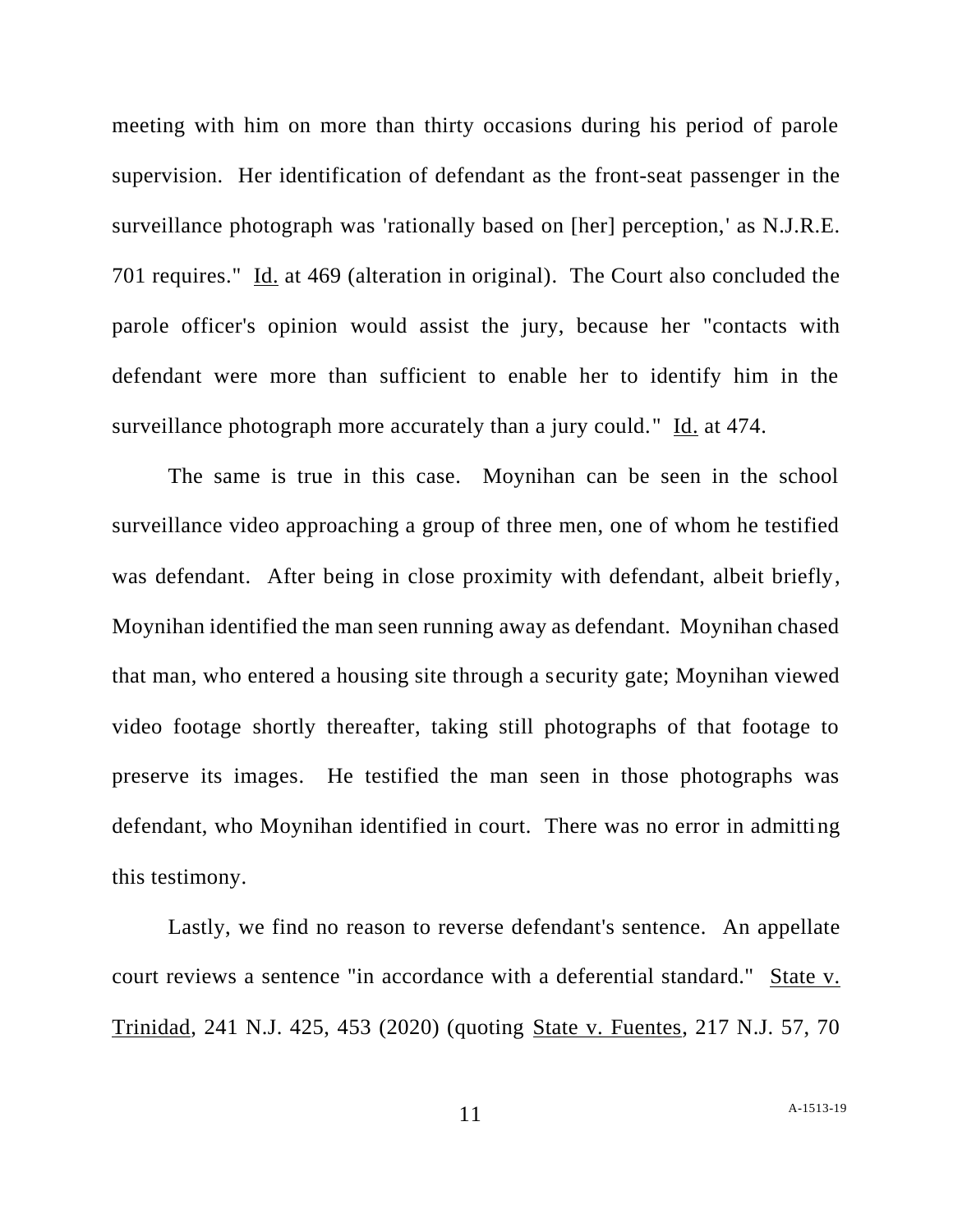meeting with him on more than thirty occasions during his period of parole supervision. Her identification of defendant as the front-seat passenger in the surveillance photograph was 'rationally based on [her] perception,' as N.J.R.E. 701 requires." Id. at 469 (alteration in original). The Court also concluded the parole officer's opinion would assist the jury, because her "contacts with defendant were more than sufficient to enable her to identify him in the surveillance photograph more accurately than a jury could." Id. at 474.

The same is true in this case. Moynihan can be seen in the school surveillance video approaching a group of three men, one of whom he testified was defendant. After being in close proximity with defendant, albeit briefly, Moynihan identified the man seen running away as defendant. Moynihan chased that man, who entered a housing site through a security gate; Moynihan viewed video footage shortly thereafter, taking still photographs of that footage to preserve its images. He testified the man seen in those photographs was defendant, who Moynihan identified in court. There was no error in admitting this testimony.

Lastly, we find no reason to reverse defendant's sentence. An appellate court reviews a sentence "in accordance with a deferential standard." State v. Trinidad, 241 N.J. 425, 453 (2020) (quoting State v. Fuentes, 217 N.J. 57, 70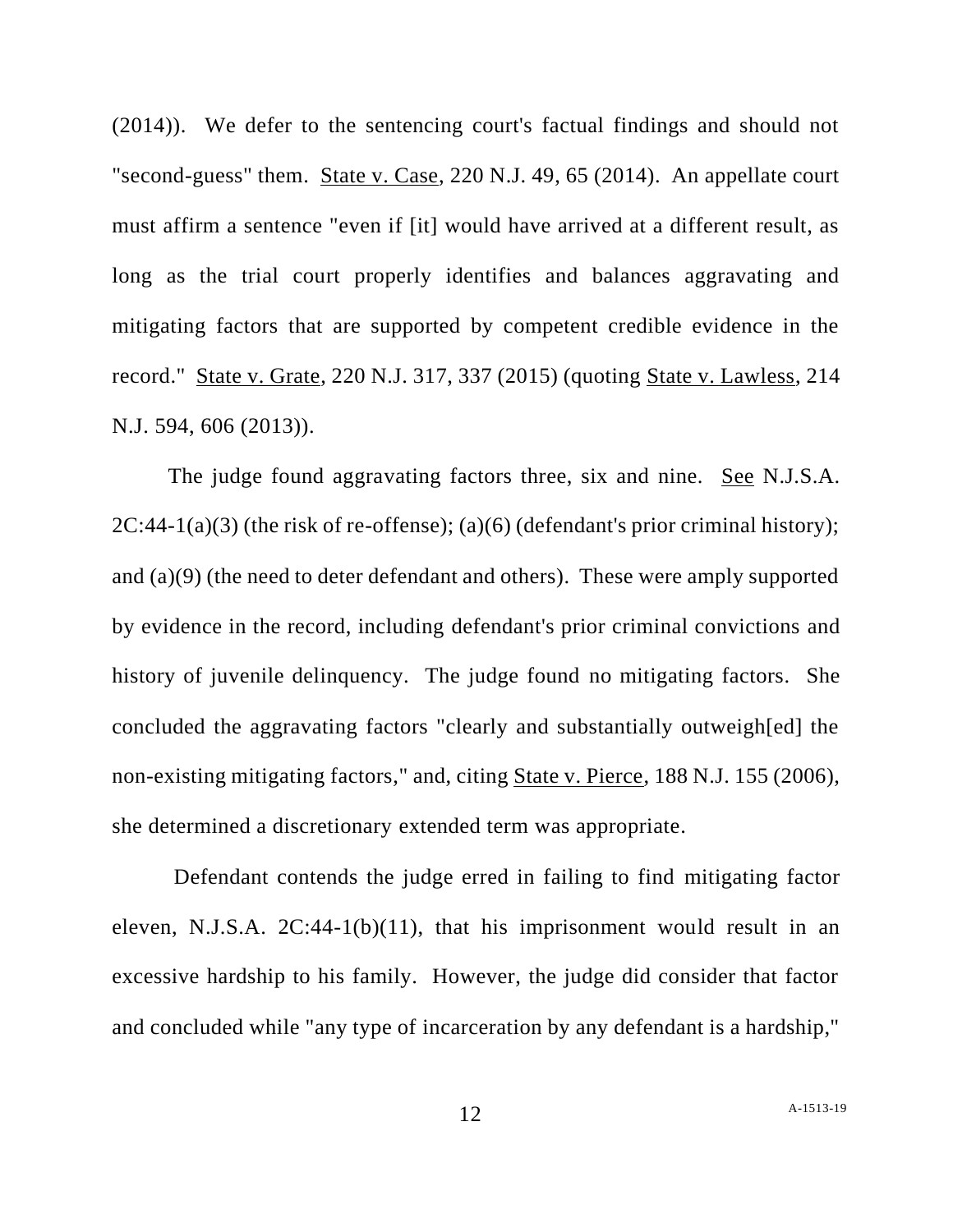(2014)). We defer to the sentencing court's factual findings and should not "second-guess" them. State v. Case, 220 N.J. 49, 65 (2014). An appellate court must affirm a sentence "even if [it] would have arrived at a different result, as long as the trial court properly identifies and balances aggravating and mitigating factors that are supported by competent credible evidence in the record." State v. Grate, 220 N.J. 317, 337 (2015) (quoting State v. Lawless, 214 N.J. 594, 606 (2013)).

The judge found aggravating factors three, six and nine. See N.J.S.A.  $2C:44-1(a)(3)$  (the risk of re-offense); (a)(6) (defendant's prior criminal history); and (a)(9) (the need to deter defendant and others). These were amply supported by evidence in the record, including defendant's prior criminal convictions and history of juvenile delinquency. The judge found no mitigating factors. She concluded the aggravating factors "clearly and substantially outweigh[ed] the non-existing mitigating factors," and, citing State v. Pierce, 188 N.J. 155 (2006), she determined a discretionary extended term was appropriate.

Defendant contends the judge erred in failing to find mitigating factor eleven, N.J.S.A. 2C:44-1(b)(11), that his imprisonment would result in an excessive hardship to his family. However, the judge did consider that factor and concluded while "any type of incarceration by any defendant is a hardship,"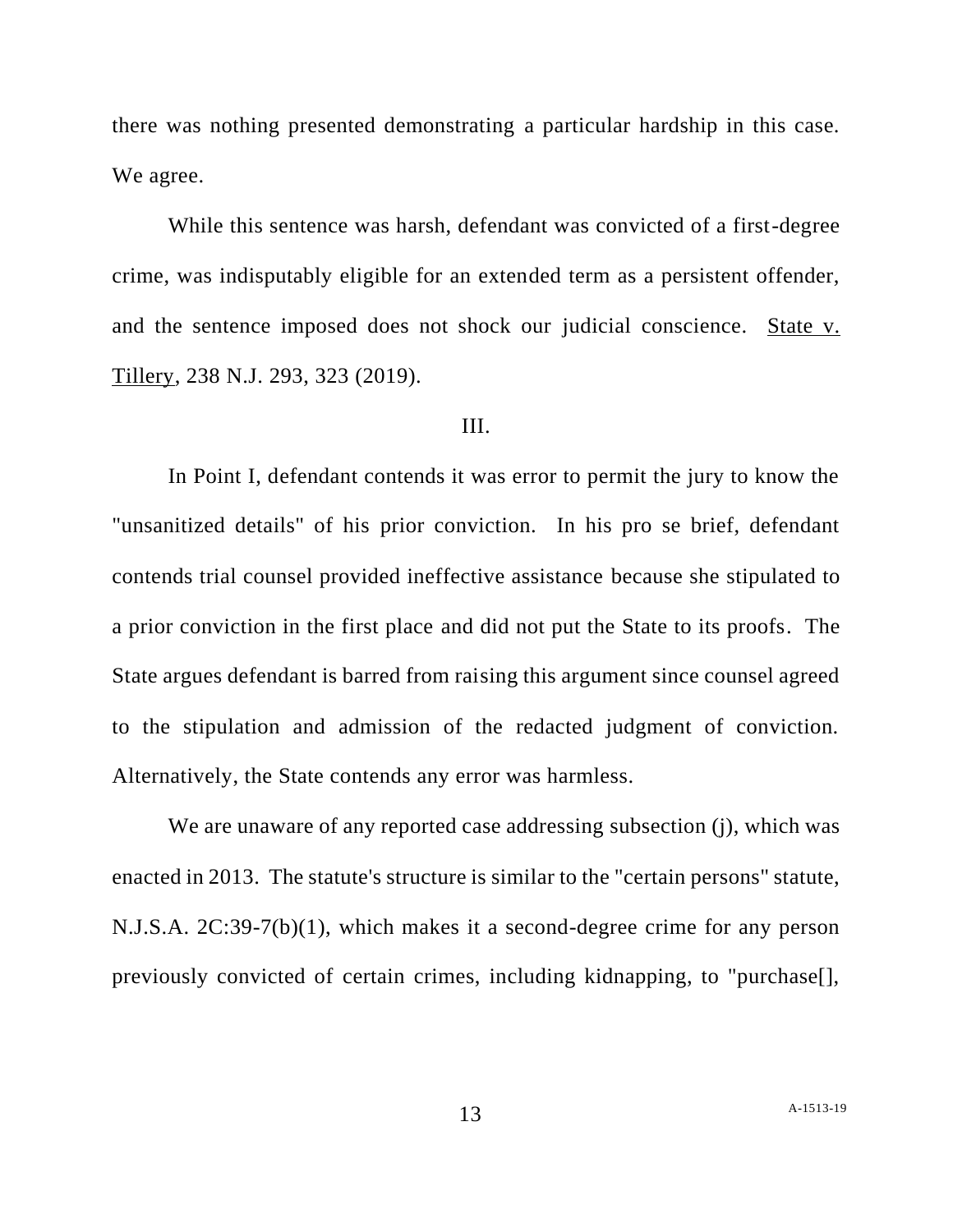there was nothing presented demonstrating a particular hardship in this case. We agree.

While this sentence was harsh, defendant was convicted of a first-degree crime, was indisputably eligible for an extended term as a persistent offender, and the sentence imposed does not shock our judicial conscience. State v. Tillery, 238 N.J. 293, 323 (2019).

#### III.

In Point I, defendant contends it was error to permit the jury to know the "unsanitized details" of his prior conviction. In his pro se brief, defendant contends trial counsel provided ineffective assistance because she stipulated to a prior conviction in the first place and did not put the State to its proofs. The State argues defendant is barred from raising this argument since counsel agreed to the stipulation and admission of the redacted judgment of conviction. Alternatively, the State contends any error was harmless.

We are unaware of any reported case addressing subsection (j), which was enacted in 2013. The statute's structure is similar to the "certain persons" statute, N.J.S.A. 2C:39-7(b)(1), which makes it a second-degree crime for any person previously convicted of certain crimes, including kidnapping, to "purchase[],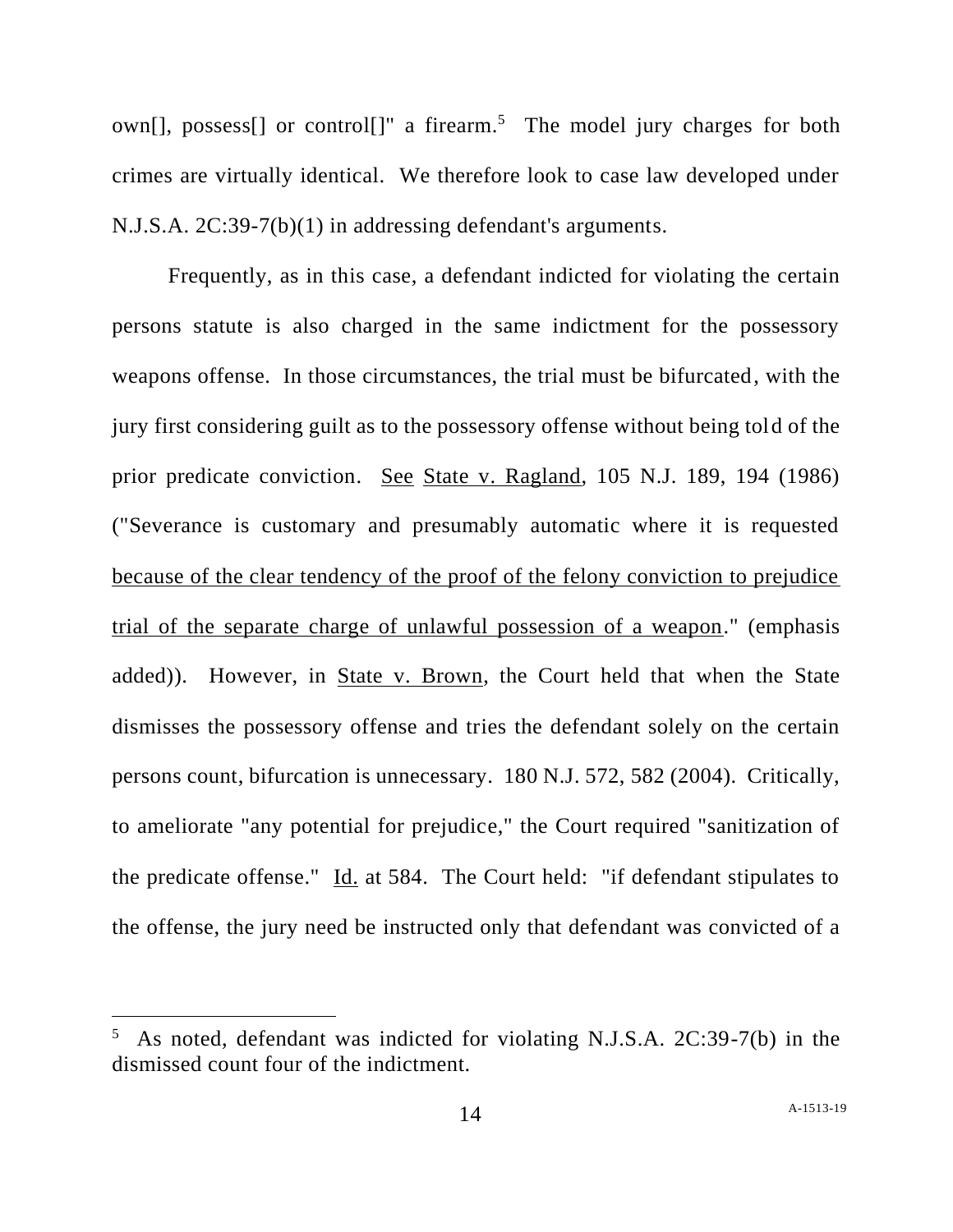own[], possess[] or control[]" a firearm.<sup>5</sup> The model jury charges for both crimes are virtually identical. We therefore look to case law developed under N.J.S.A. 2C:39-7(b)(1) in addressing defendant's arguments.

Frequently, as in this case, a defendant indicted for violating the certain persons statute is also charged in the same indictment for the possessory weapons offense. In those circumstances, the trial must be bifurcated, with the jury first considering guilt as to the possessory offense without being told of the prior predicate conviction. See State v. Ragland, 105 N.J. 189, 194 (1986) ("Severance is customary and presumably automatic where it is requested because of the clear tendency of the proof of the felony conviction to prejudice trial of the separate charge of unlawful possession of a weapon." (emphasis added)). However, in State v. Brown, the Court held that when the State dismisses the possessory offense and tries the defendant solely on the certain persons count, bifurcation is unnecessary. 180 N.J. 572, 582 (2004). Critically, to ameliorate "any potential for prejudice," the Court required "sanitization of the predicate offense." Id. at 584. The Court held: "if defendant stipulates to the offense, the jury need be instructed only that defendant was convicted of a

<sup>5</sup> As noted, defendant was indicted for violating N.J.S.A. 2C:39-7(b) in the dismissed count four of the indictment.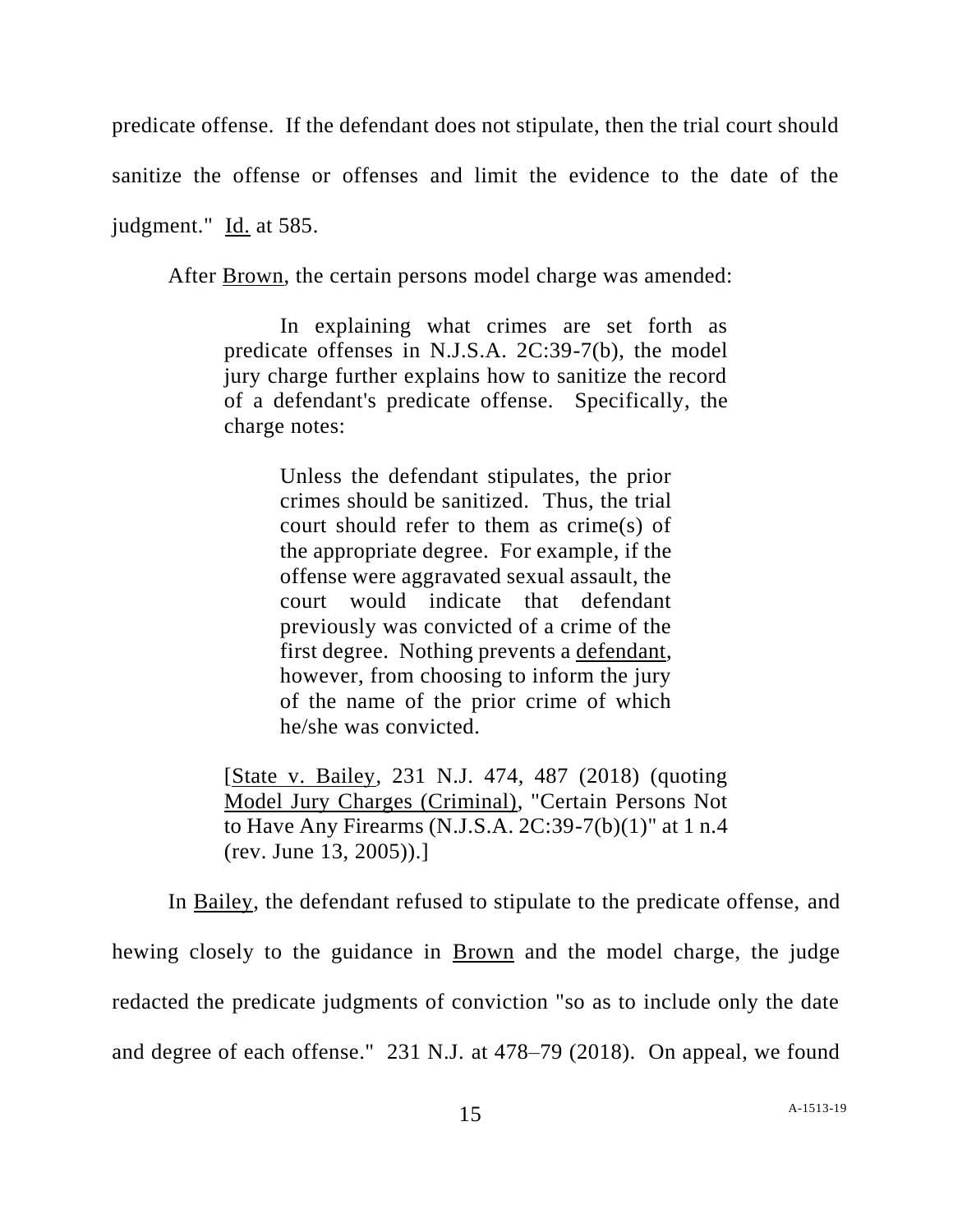predicate offense. If the defendant does not stipulate, then the trial court should

sanitize the offense or offenses and limit the evidence to the date of the

judgment." Id. at 585.

After Brown, the certain persons model charge was amended:

In explaining what crimes are set forth as predicate offenses in N.J.S.A. 2C:39-7(b), the model jury charge further explains how to sanitize the record of a defendant's predicate offense. Specifically, the charge notes:

> Unless the defendant stipulates, the prior crimes should be sanitized. Thus, the trial court should refer to them as crime(s) of the appropriate degree. For example, if the offense were aggravated sexual assault, the court would indicate that defendant previously was convicted of a crime of the first degree. Nothing prevents a defendant, however, from choosing to inform the jury of the name of the prior crime of which he/she was convicted.

[State v. Bailey, 231 N.J. 474, 487 (2018) (quoting Model Jury Charges (Criminal), "Certain Persons Not to Have Any Firearms (N.J.S.A. 2C:39-7(b)(1)" at 1 n.4 (rev. June 13, 2005)).]

In Bailey, the defendant refused to stipulate to the predicate offense, and hewing closely to the guidance in Brown and the model charge, the judge redacted the predicate judgments of conviction "so as to include only the date and degree of each offense." 231 N.J. at 478–79 (2018). On appeal, we found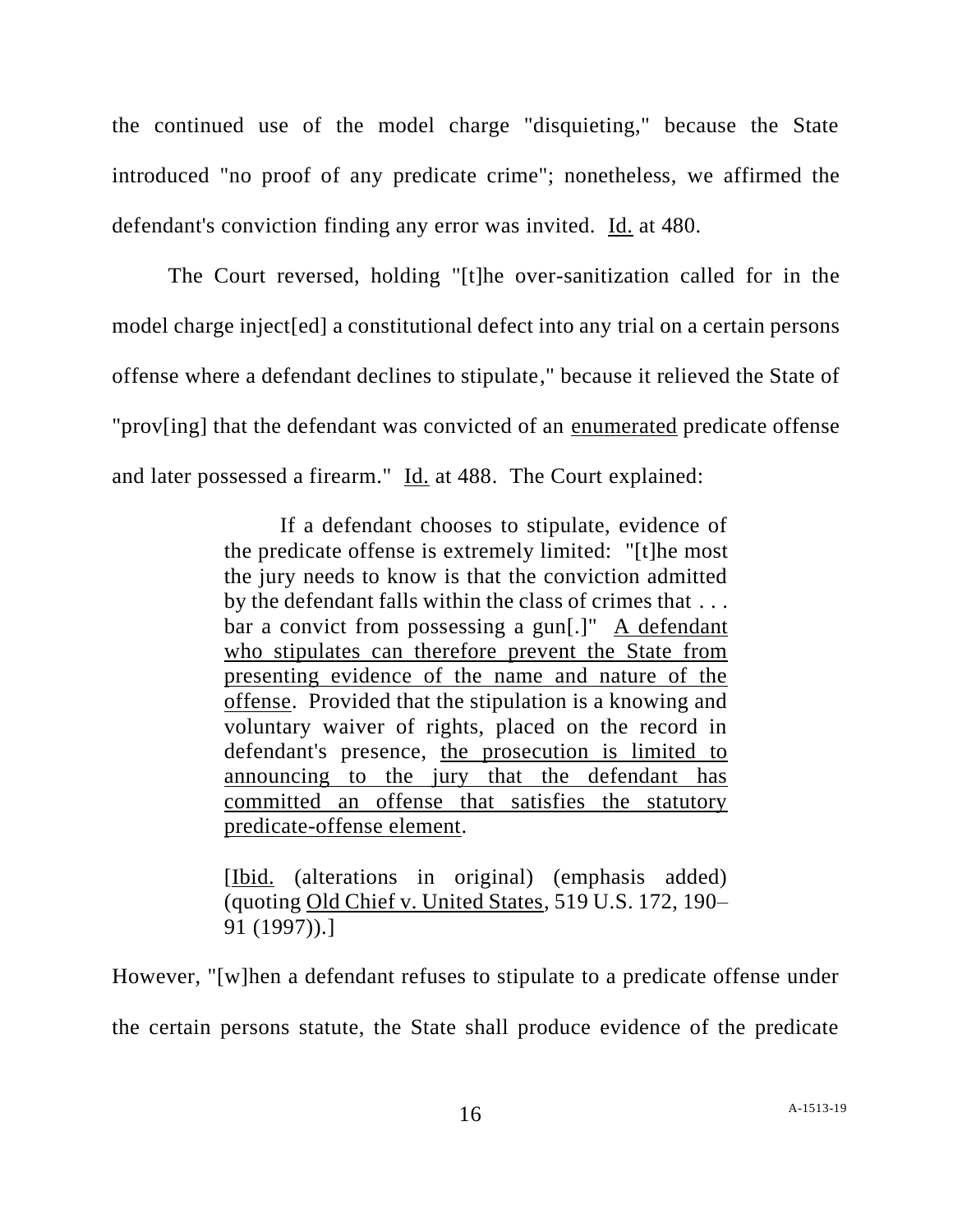the continued use of the model charge "disquieting," because the State introduced "no proof of any predicate crime"; nonetheless, we affirmed the defendant's conviction finding any error was invited. Id. at 480.

The Court reversed, holding "[t]he over-sanitization called for in the model charge inject[ed] a constitutional defect into any trial on a certain persons offense where a defendant declines to stipulate," because it relieved the State of "prov[ing] that the defendant was convicted of an enumerated predicate offense and later possessed a firearm." Id. at 488. The Court explained:

> If a defendant chooses to stipulate, evidence of the predicate offense is extremely limited: "[t]he most the jury needs to know is that the conviction admitted by the defendant falls within the class of crimes that . . . bar a convict from possessing a gun[.]" A defendant who stipulates can therefore prevent the State from presenting evidence of the name and nature of the offense. Provided that the stipulation is a knowing and voluntary waiver of rights, placed on the record in defendant's presence, the prosecution is limited to announcing to the jury that the defendant has committed an offense that satisfies the statutory predicate-offense element.

> [Ibid. (alterations in original) (emphasis added) (quoting Old Chief v. United States, 519 U.S. 172, 190– 91 (1997)).]

However, "[w]hen a defendant refuses to stipulate to a predicate offense under the certain persons statute, the State shall produce evidence of the predicate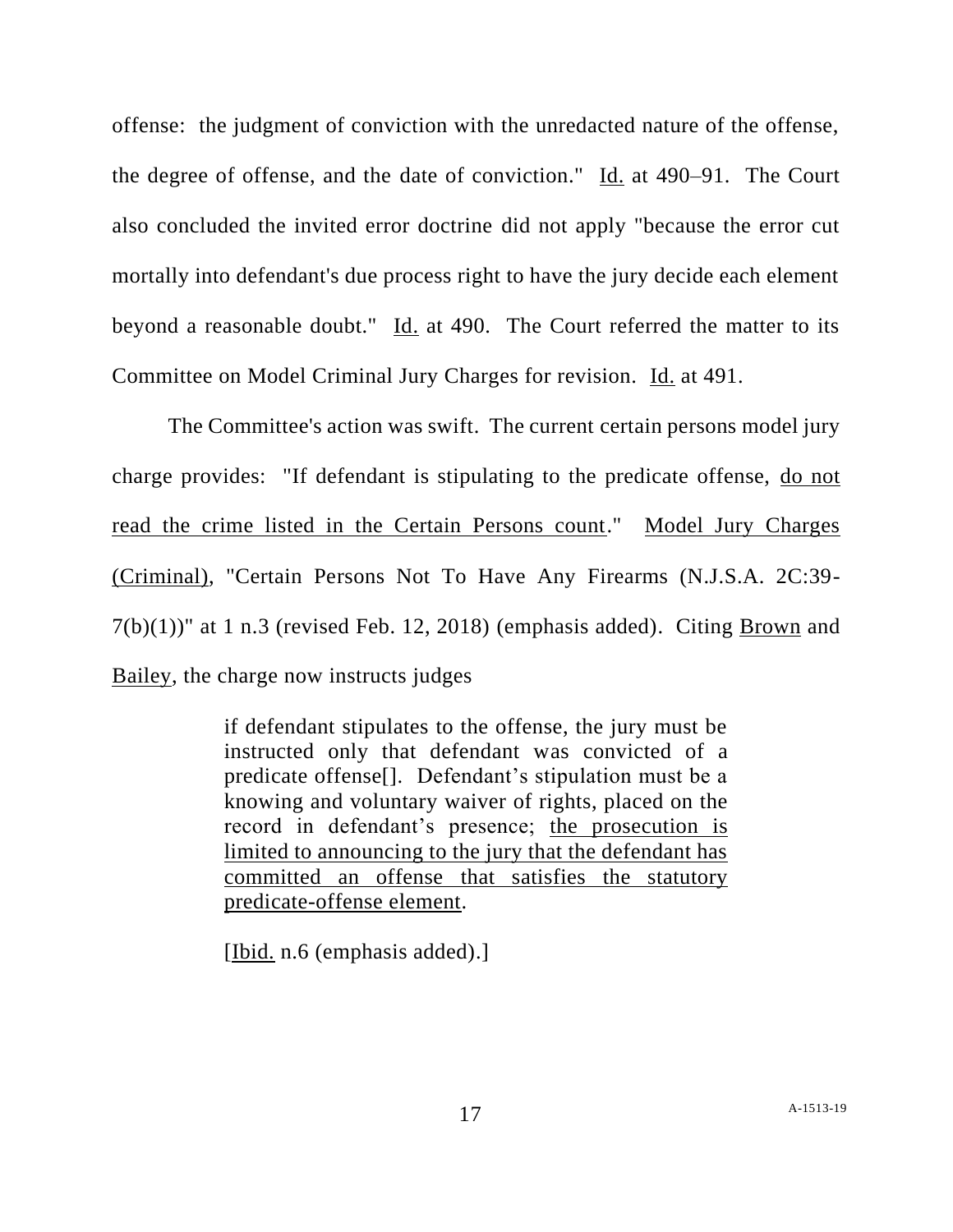offense: the judgment of conviction with the unredacted nature of the offense, the degree of offense, and the date of conviction." Id. at 490–91. The Court also concluded the invited error doctrine did not apply "because the error cut mortally into defendant's due process right to have the jury decide each element beyond a reasonable doubt." Id. at 490. The Court referred the matter to its Committee on Model Criminal Jury Charges for revision. Id. at 491.

The Committee's action was swift. The current certain persons model jury charge provides: "If defendant is stipulating to the predicate offense, do not read the crime listed in the Certain Persons count." Model Jury Charges (Criminal), "Certain Persons Not To Have Any Firearms (N.J.S.A. 2C:39-  $7(b)(1)$ " at 1 n.3 (revised Feb. 12, 2018) (emphasis added). Citing Brown and Bailey, the charge now instructs judges

> if defendant stipulates to the offense, the jury must be instructed only that defendant was convicted of a predicate offense[]. Defendant's stipulation must be a knowing and voluntary waiver of rights, placed on the record in defendant's presence; the prosecution is limited to announcing to the jury that the defendant has committed an offense that satisfies the statutory predicate-offense element.

[Ibid. n.6 (emphasis added).]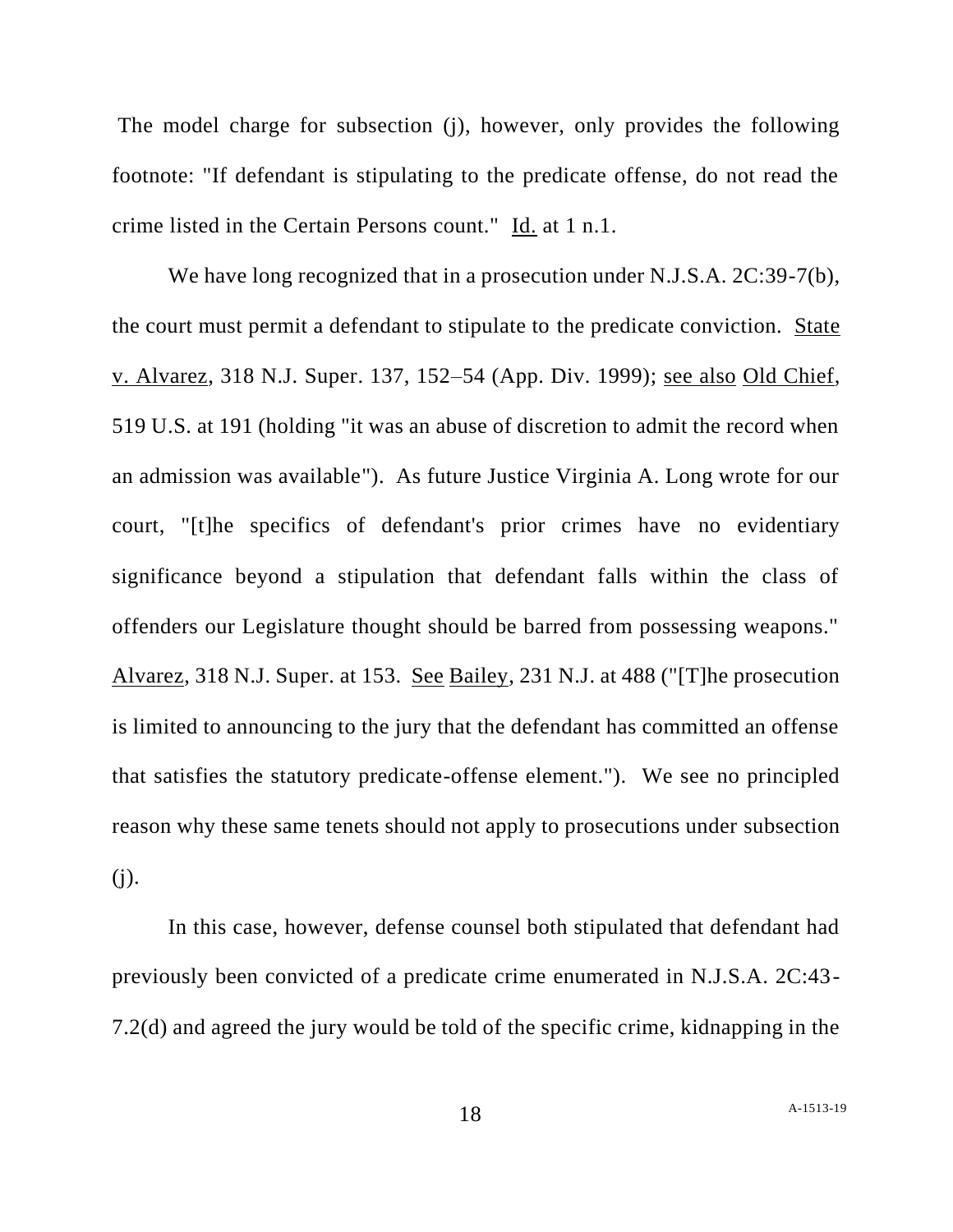The model charge for subsection (j), however, only provides the following footnote: "If defendant is stipulating to the predicate offense, do not read the crime listed in the Certain Persons count." Id. at 1 n.1.

We have long recognized that in a prosecution under N.J.S.A. 2C:39-7(b), the court must permit a defendant to stipulate to the predicate conviction. State v. Alvarez, 318 N.J. Super. 137, 152–54 (App. Div. 1999); see also Old Chief, 519 U.S. at 191 (holding "it was an abuse of discretion to admit the record when an admission was available"). As future Justice Virginia A. Long wrote for our court, "[t]he specifics of defendant's prior crimes have no evidentiary significance beyond a stipulation that defendant falls within the class of offenders our Legislature thought should be barred from possessing weapons." Alvarez, 318 N.J. Super. at 153. See Bailey, 231 N.J. at 488 ("[T]he prosecution is limited to announcing to the jury that the defendant has committed an offense that satisfies the statutory predicate-offense element."). We see no principled reason why these same tenets should not apply to prosecutions under subsection (j).

In this case, however, defense counsel both stipulated that defendant had previously been convicted of a predicate crime enumerated in N.J.S.A. 2C:43- 7.2(d) and agreed the jury would be told of the specific crime, kidnapping in the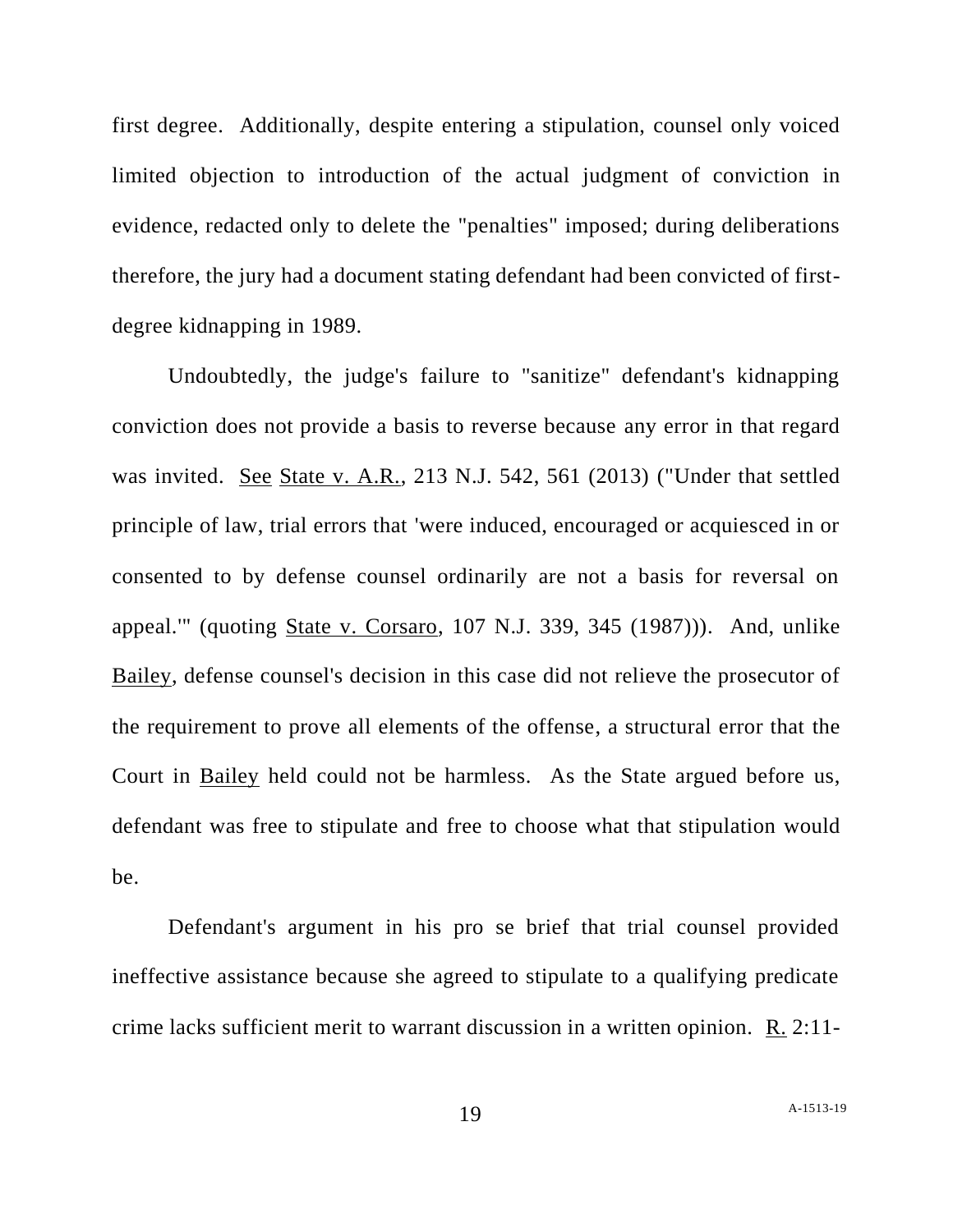first degree. Additionally, despite entering a stipulation, counsel only voiced limited objection to introduction of the actual judgment of conviction in evidence, redacted only to delete the "penalties" imposed; during deliberations therefore, the jury had a document stating defendant had been convicted of firstdegree kidnapping in 1989.

Undoubtedly, the judge's failure to "sanitize" defendant's kidnapping conviction does not provide a basis to reverse because any error in that regard was invited. See State v. A.R., 213 N.J. 542, 561 (2013) ("Under that settled principle of law, trial errors that 'were induced, encouraged or acquiesced in or consented to by defense counsel ordinarily are not a basis for reversal on appeal.'" (quoting State v. Corsaro, 107 N.J. 339, 345 (1987))). And, unlike Bailey, defense counsel's decision in this case did not relieve the prosecutor of the requirement to prove all elements of the offense, a structural error that the Court in Bailey held could not be harmless. As the State argued before us, defendant was free to stipulate and free to choose what that stipulation would be.

Defendant's argument in his pro se brief that trial counsel provided ineffective assistance because she agreed to stipulate to a qualifying predicate crime lacks sufficient merit to warrant discussion in a written opinion. R. 2:11-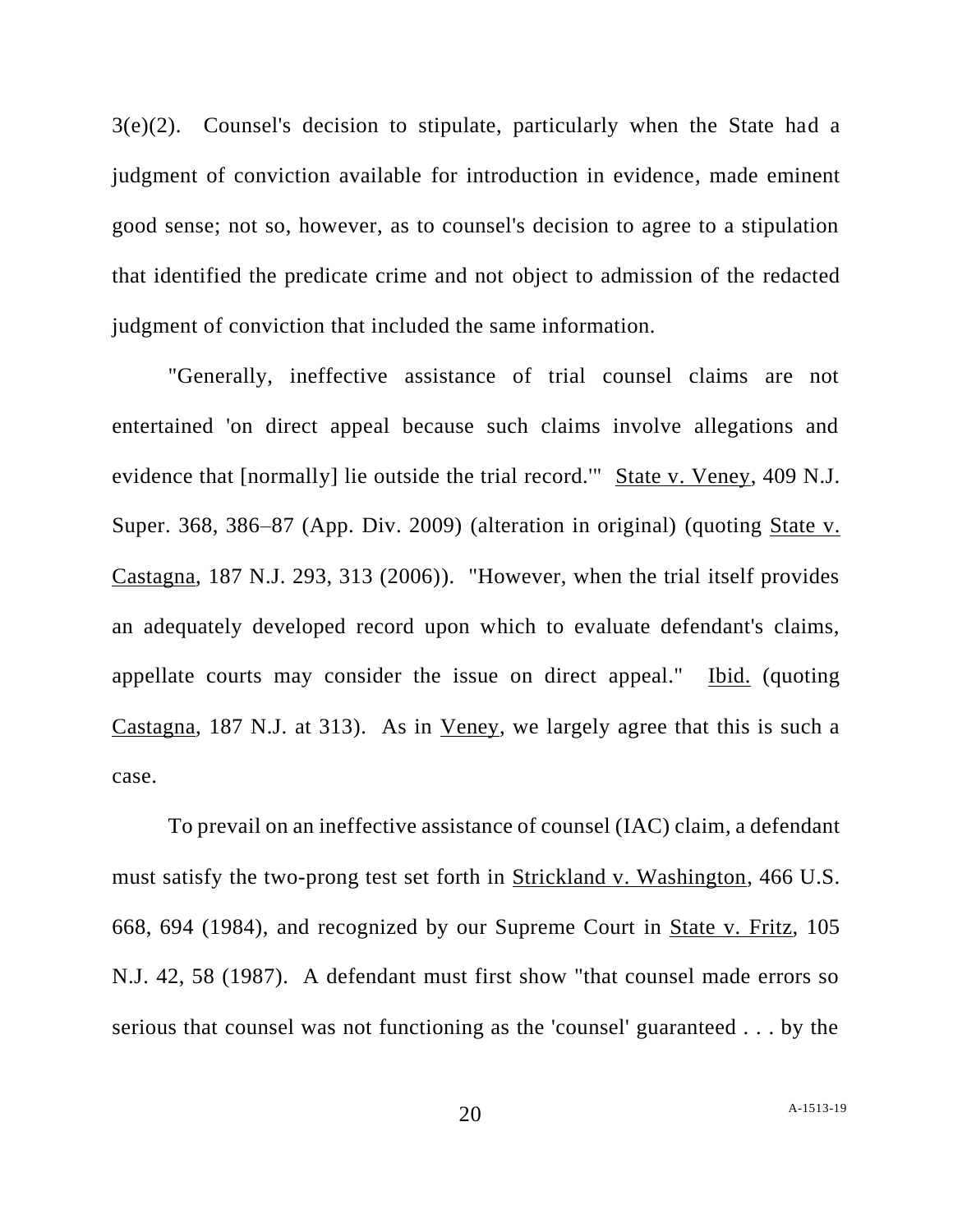3(e)(2). Counsel's decision to stipulate, particularly when the State had a judgment of conviction available for introduction in evidence, made eminent good sense; not so, however, as to counsel's decision to agree to a stipulation that identified the predicate crime and not object to admission of the redacted judgment of conviction that included the same information.

"Generally, ineffective assistance of trial counsel claims are not entertained 'on direct appeal because such claims involve allegations and evidence that [normally] lie outside the trial record.'" State v. Veney, 409 N.J. Super. 368, 386–87 (App. Div. 2009) (alteration in original) (quoting State v. Castagna, 187 N.J. 293, 313 (2006)). "However, when the trial itself provides an adequately developed record upon which to evaluate defendant's claims, appellate courts may consider the issue on direct appeal." Ibid. (quoting Castagna, 187 N.J. at 313). As in Veney, we largely agree that this is such a case.

To prevail on an ineffective assistance of counsel (IAC) claim, a defendant must satisfy the two-prong test set forth in Strickland v. Washington, 466 U.S. 668, 694 (1984), and recognized by our Supreme Court in State v. Fritz, 105 N.J. 42, 58 (1987). A defendant must first show "that counsel made errors so serious that counsel was not functioning as the 'counsel' guaranteed . . . by the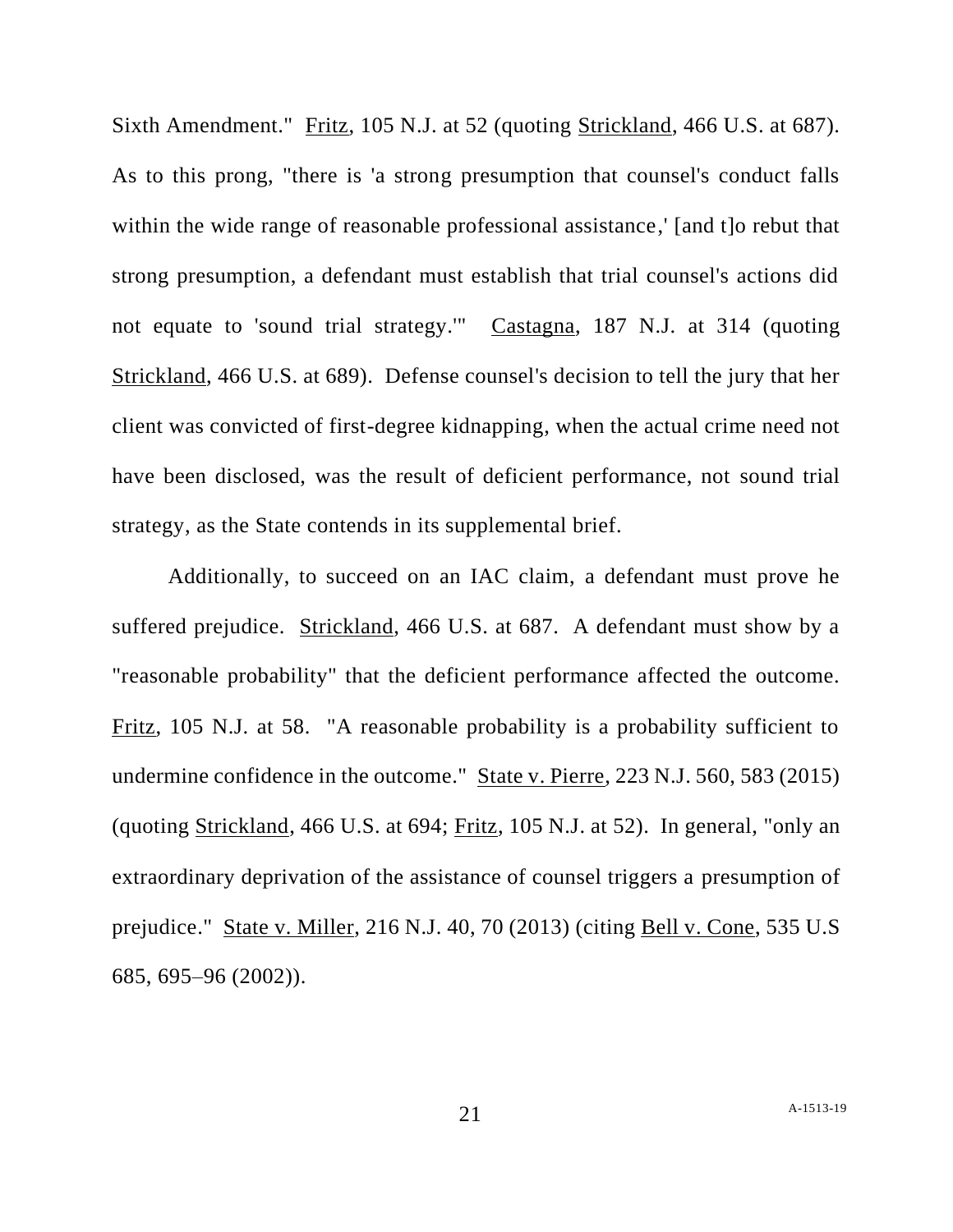Sixth Amendment." Fritz, 105 N.J. at 52 (quoting Strickland, 466 U.S. at 687). As to this prong, "there is 'a strong presumption that counsel's conduct falls within the wide range of reasonable professional assistance,' [and t]o rebut that strong presumption, a defendant must establish that trial counsel's actions did not equate to 'sound trial strategy.'" Castagna, 187 N.J. at 314 (quoting Strickland, 466 U.S. at 689). Defense counsel's decision to tell the jury that her client was convicted of first-degree kidnapping, when the actual crime need not have been disclosed, was the result of deficient performance, not sound trial strategy, as the State contends in its supplemental brief.

Additionally, to succeed on an IAC claim, a defendant must prove he suffered prejudice. Strickland, 466 U.S. at 687. A defendant must show by a "reasonable probability" that the deficient performance affected the outcome. Fritz, 105 N.J. at 58. "A reasonable probability is a probability sufficient to undermine confidence in the outcome." State v. Pierre, 223 N.J. 560, 583 (2015) (quoting Strickland, 466 U.S. at 694; Fritz, 105 N.J. at 52). In general, "only an extraordinary deprivation of the assistance of counsel triggers a presumption of prejudice." State v. Miller, 216 N.J. 40, 70 (2013) (citing Bell v. Cone, 535 U.S 685, 695–96 (2002)).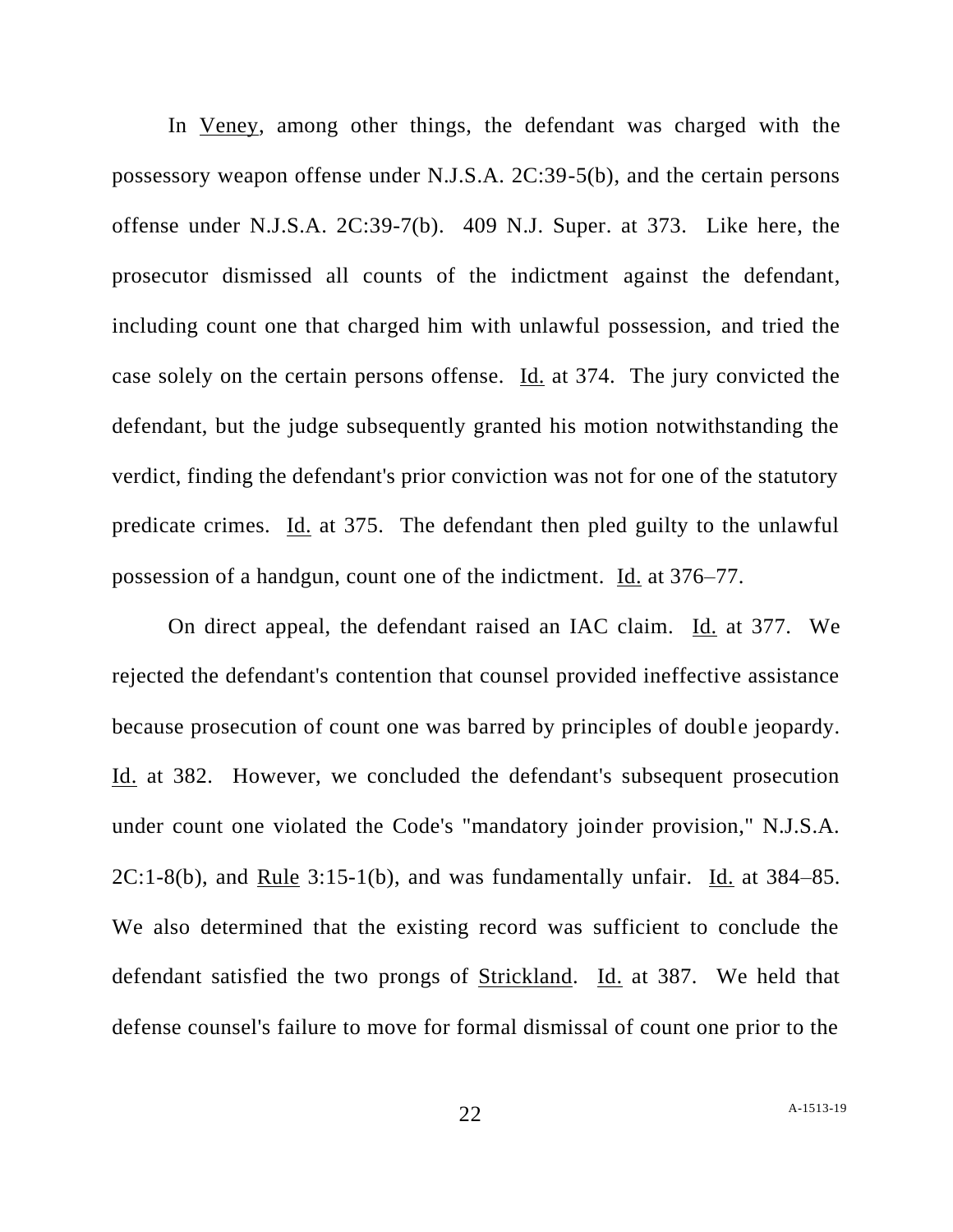In Veney, among other things, the defendant was charged with the possessory weapon offense under N.J.S.A. 2C:39-5(b), and the certain persons offense under N.J.S.A. 2C:39-7(b). 409 N.J. Super. at 373. Like here, the prosecutor dismissed all counts of the indictment against the defendant, including count one that charged him with unlawful possession, and tried the case solely on the certain persons offense. Id. at 374. The jury convicted the defendant, but the judge subsequently granted his motion notwithstanding the verdict, finding the defendant's prior conviction was not for one of the statutory predicate crimes. Id. at 375. The defendant then pled guilty to the unlawful possession of a handgun, count one of the indictment. Id. at 376–77.

On direct appeal, the defendant raised an IAC claim. Id. at 377. We rejected the defendant's contention that counsel provided ineffective assistance because prosecution of count one was barred by principles of double jeopardy. Id. at 382. However, we concluded the defendant's subsequent prosecution under count one violated the Code's "mandatory joinder provision," N.J.S.A.  $2C:1-8(b)$ , and Rule  $3:15-1(b)$ , and was fundamentally unfair. Id. at  $384-85$ . We also determined that the existing record was sufficient to conclude the defendant satisfied the two prongs of Strickland. Id. at 387. We held that defense counsel's failure to move for formal dismissal of count one prior to the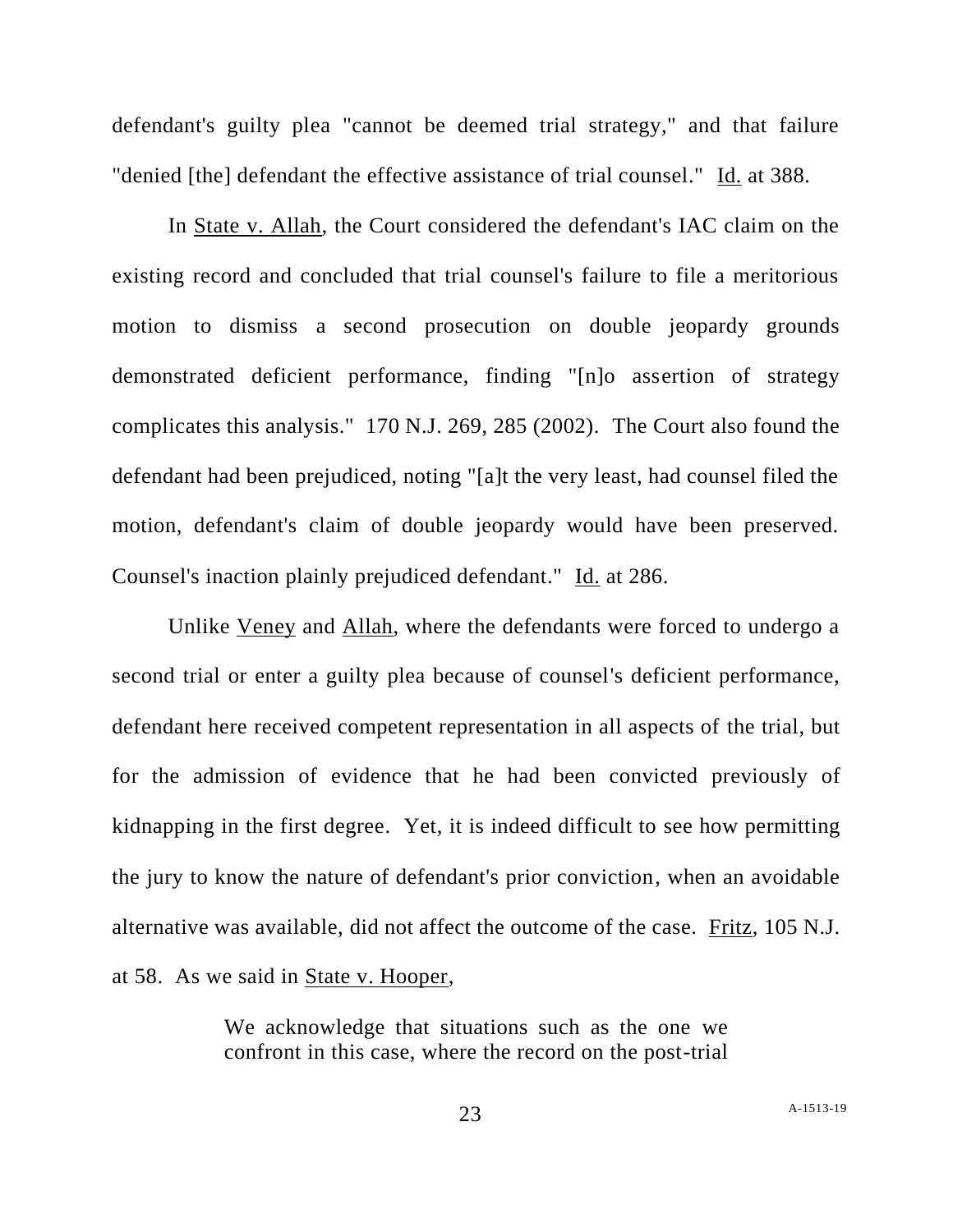defendant's guilty plea "cannot be deemed trial strategy," and that failure "denied [the] defendant the effective assistance of trial counsel." Id. at 388.

In State v. Allah, the Court considered the defendant's IAC claim on the existing record and concluded that trial counsel's failure to file a meritorious motion to dismiss a second prosecution on double jeopardy grounds demonstrated deficient performance, finding "[n]o assertion of strategy complicates this analysis." 170 N.J. 269, 285 (2002). The Court also found the defendant had been prejudiced, noting "[a]t the very least, had counsel filed the motion, defendant's claim of double jeopardy would have been preserved. Counsel's inaction plainly prejudiced defendant." Id. at 286.

Unlike Veney and Allah, where the defendants were forced to undergo a second trial or enter a guilty plea because of counsel's deficient performance, defendant here received competent representation in all aspects of the trial, but for the admission of evidence that he had been convicted previously of kidnapping in the first degree. Yet, it is indeed difficult to see how permitting the jury to know the nature of defendant's prior conviction, when an avoidable alternative was available, did not affect the outcome of the case. Fritz, 105 N.J. at 58. As we said in State v. Hooper,

> We acknowledge that situations such as the one we confront in this case, where the record on the post-trial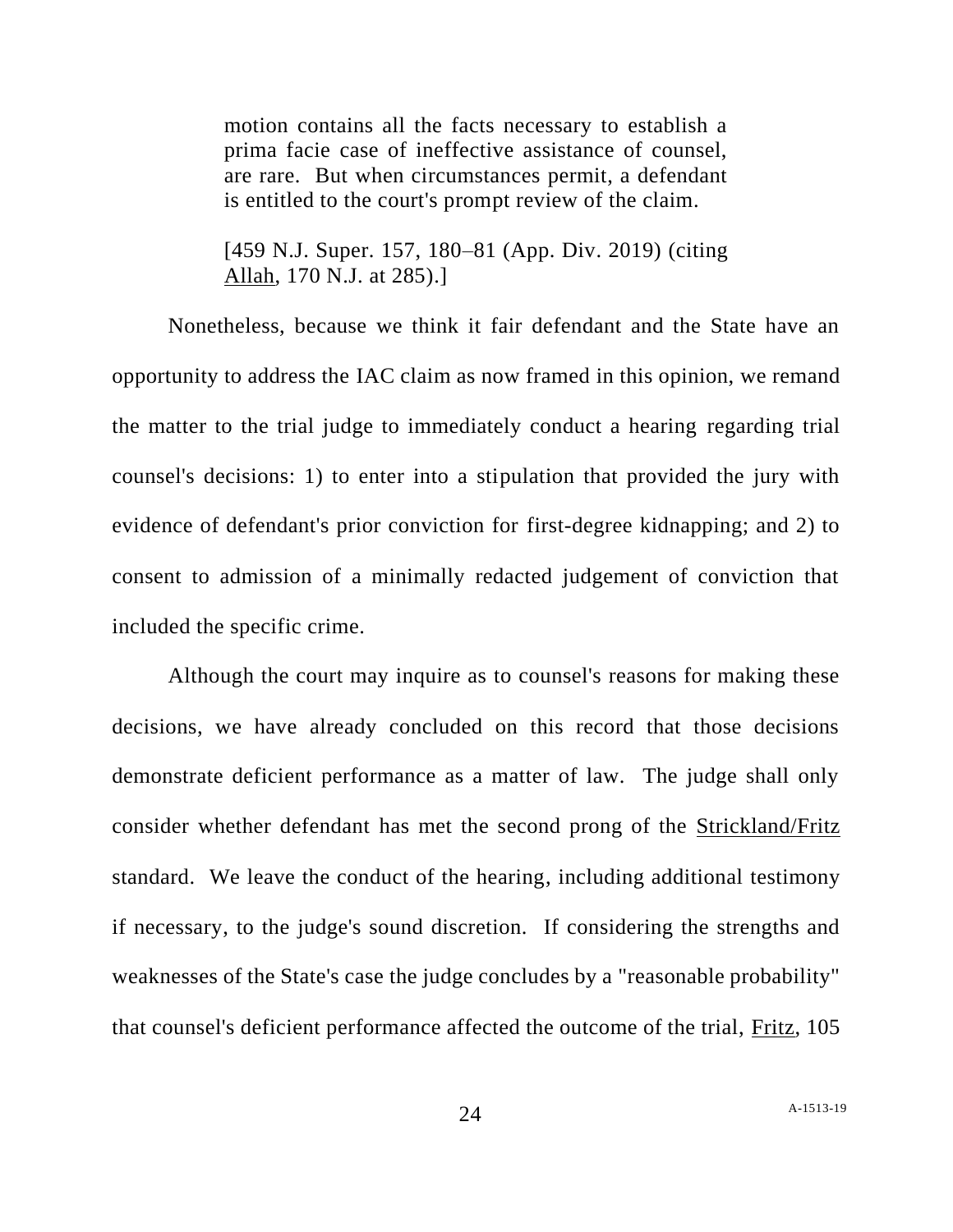motion contains all the facts necessary to establish a prima facie case of ineffective assistance of counsel, are rare. But when circumstances permit, a defendant is entitled to the court's prompt review of the claim.

[459 N.J. Super. 157, 180–81 (App. Div. 2019) (citing Allah, 170 N.J. at 285).]

Nonetheless, because we think it fair defendant and the State have an opportunity to address the IAC claim as now framed in this opinion, we remand the matter to the trial judge to immediately conduct a hearing regarding trial counsel's decisions: 1) to enter into a stipulation that provided the jury with evidence of defendant's prior conviction for first-degree kidnapping; and 2) to consent to admission of a minimally redacted judgement of conviction that included the specific crime.

Although the court may inquire as to counsel's reasons for making these decisions, we have already concluded on this record that those decisions demonstrate deficient performance as a matter of law. The judge shall only consider whether defendant has met the second prong of the Strickland/Fritz standard. We leave the conduct of the hearing, including additional testimony if necessary, to the judge's sound discretion. If considering the strengths and weaknesses of the State's case the judge concludes by a "reasonable probability" that counsel's deficient performance affected the outcome of the trial, Fritz, 105